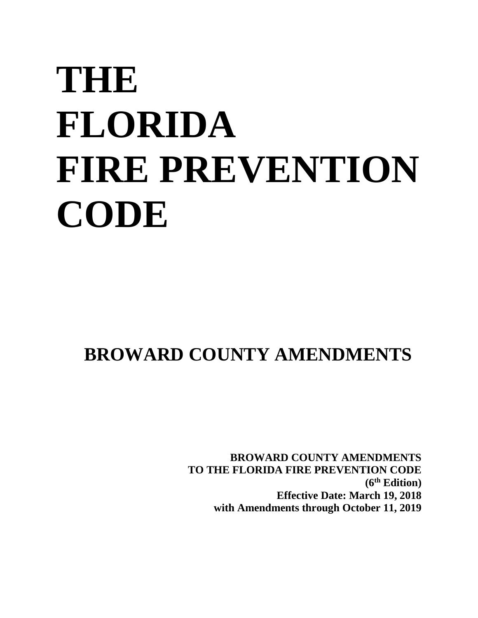# **THE FLORIDA FIRE PREVENTION CODE**

## **BROWARD COUNTY AMENDMENTS**

**BROWARD COUNTY AMENDMENTS TO THE FLORIDA FIRE PREVENTION CODE (6 th Edition) Effective Date: March 19, 2018 with Amendments through October 11, 2019**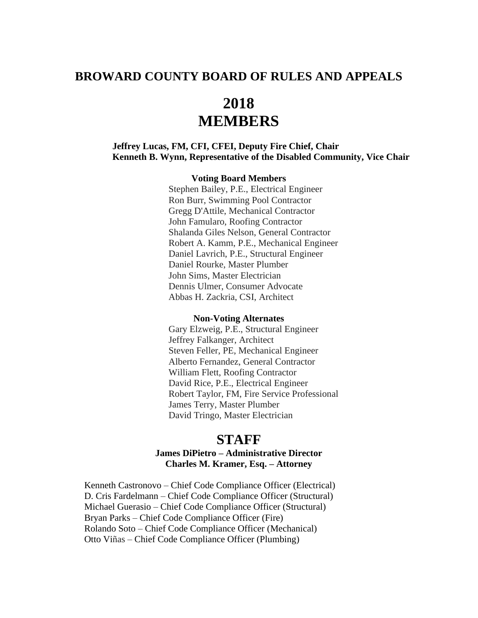## **BROWARD COUNTY BOARD OF RULES AND APPEALS**

## **2018 MEMBERS**

#### **Jeffrey Lucas, FM, CFI, CFEI, Deputy Fire Chief, Chair Kenneth B. Wynn, Representative of the Disabled Community, Vice Chair**

#### **Voting Board Members**

Stephen Bailey, P.E., Electrical Engineer Ron Burr, Swimming Pool Contractor Gregg D'Attile, Mechanical Contractor John Famularo, Roofing Contractor Shalanda Giles Nelson, General Contractor Robert A. Kamm, P.E., Mechanical Engineer Daniel Lavrich, P.E., Structural Engineer Daniel Rourke, Master Plumber John Sims, Master Electrician Dennis Ulmer, Consumer Advocate Abbas H. Zackria, CSI, Architect

#### **Non-Voting Alternates**

Gary Elzweig, P.E., Structural Engineer Jeffrey Falkanger, Architect Steven Feller, PE, Mechanical Engineer Alberto Fernandez, General Contractor William Flett, Roofing Contractor David Rice, P.E., Electrical Engineer Robert Taylor, FM, Fire Service Professional James Terry, Master Plumber David Tringo, Master Electrician

### **STAFF**

#### **James DiPietro – Administrative Director Charles M. Kramer, Esq. – Attorney**

Kenneth Castronovo – Chief Code Compliance Officer (Electrical) D. Cris Fardelmann – Chief Code Compliance Officer (Structural) Michael Guerasio – Chief Code Compliance Officer (Structural) Bryan Parks – Chief Code Compliance Officer (Fire) Rolando Soto – Chief Code Compliance Officer (Mechanical) Otto Viñas – Chief Code Compliance Officer (Plumbing)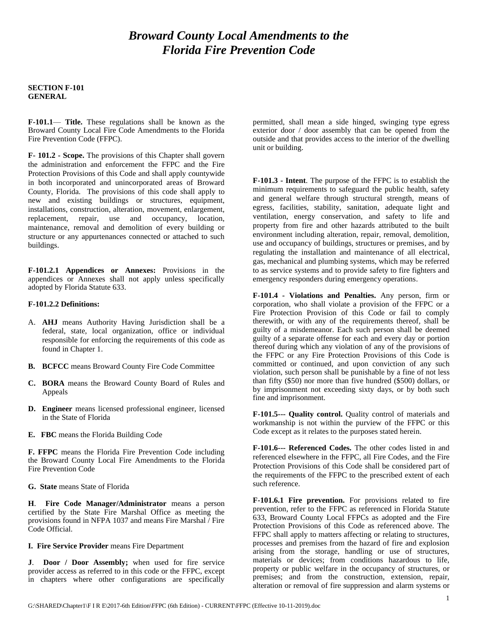## *Broward County Local Amendments to the Florida Fire Prevention Code*

#### **SECTION F-101 GENERAL**

**F-101.1**— **Title.** These regulations shall be known as the Broward County Local Fire Code Amendments to the Florida Fire Prevention Code (FFPC).

**F- 101.2 - Scope.** The provisions of this Chapter shall govern the administration and enforcement the FFPC and the Fire Protection Provisions of this Code and shall apply countywide in both incorporated and unincorporated areas of Broward County, Florida. The provisions of this code shall apply to new and existing buildings or structures, equipment, installations, construction, alteration, movement, enlargement, replacement, repair, use and occupancy, location, maintenance, removal and demolition of every building or structure or any appurtenances connected or attached to such buildings.

**F-101.2.1 Appendices or Annexes:** Provisions in the appendices or Annexes shall not apply unless specifically adopted by Florida Statute 633.

#### **F-101.2.2 Definitions:**

- A. **AHJ** means Authority Having Jurisdiction shall be a federal, state, local organization, office or individual responsible for enforcing the requirements of this code as found in Chapter 1.
- **B. BCFCC** means Broward County Fire Code Committee
- **C. BORA** means the Broward County Board of Rules and Appeals
- **D. Engineer** means licensed professional engineer, licensed in the State of Florida
- **E. FBC** means the Florida Building Code

**F. FFPC** means the Florida Fire Prevention Code including the Broward County Local Fire Amendments to the Florida Fire Prevention Code

**G. State** means State of Florida

**H**. **Fire Code Manager/Administrator** means a person certified by the State Fire Marshal Office as meeting the provisions found in NFPA 1037 and means Fire Marshal / Fire Code Official.

#### **I. Fire Service Provider** means Fire Department

**J**. **Door / Door Assembly;** when used for fire service provider access as referred to in this code or the FFPC, except in chapters where other configurations are specifically permitted, shall mean a side hinged, swinging type egress exterior door / door assembly that can be opened from the outside and that provides access to the interior of the dwelling unit or building.

**F-101.3 - Intent**. The purpose of the FFPC is to establish the minimum requirements to safeguard the public health, safety and general welfare through structural strength, means of egress, facilities, stability, sanitation, adequate light and ventilation, energy conservation, and safety to life and property from fire and other hazards attributed to the built environment including alteration, repair, removal, demolition, use and occupancy of buildings, structures or premises, and by regulating the installation and maintenance of all electrical, gas, mechanical and plumbing systems, which may be referred to as service systems and to provide safety to fire fighters and emergency responders during emergency operations.

**F-101.4 - Violations and Penalties.** Any person, firm or corporation, who shall violate a provision of the FFPC or a Fire Protection Provision of this Code or fail to comply therewith, or with any of the requirements thereof, shall be guilty of a misdemeanor. Each such person shall be deemed guilty of a separate offense for each and every day or portion thereof during which any violation of any of the provisions of the FFPC or any Fire Protection Provisions of this Code is committed or continued, and upon conviction of any such violation, such person shall be punishable by a fine of not less than fifty (\$50) nor more than five hundred (\$500) dollars, or by imprisonment not exceeding sixty days, or by both such fine and imprisonment.

**F-101.5--- Quality control.** Quality control of materials and workmanship is not within the purview of the FFPC or this Code except as it relates to the purposes stated herein.

**F-101.6--- Referenced Codes.** The other codes listed in and referenced elsewhere in the FFPC, all Fire Codes, and the Fire Protection Provisions of this Code shall be considered part of the requirements of the FFPC to the prescribed extent of each such reference.

**F-101.6.1 Fire prevention.** For provisions related to fire prevention, refer to the FFPC as referenced in Florida Statute 633, Broward County Local FFPCs as adopted and the Fire Protection Provisions of this Code as referenced above. The FFPC shall apply to matters affecting or relating to structures, processes and premises from the hazard of fire and explosion arising from the storage, handling or use of structures, materials or devices; from conditions hazardous to life, property or public welfare in the occupancy of structures, or premises; and from the construction, extension, repair, alteration or removal of fire suppression and alarm systems or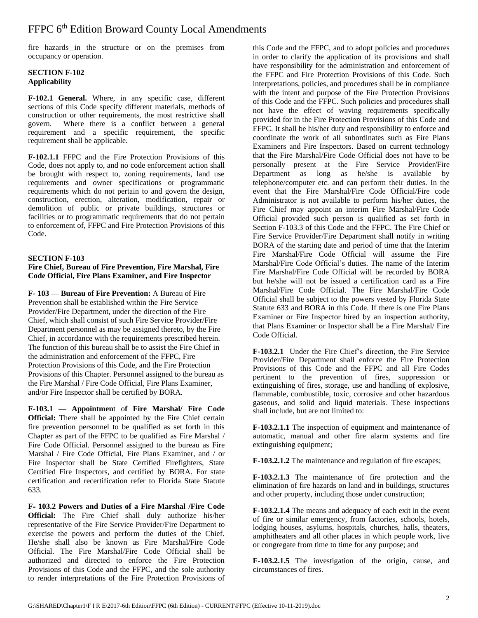fire hazards in the structure or on the premises from occupancy or operation.

#### **SECTION F-102 Applicability**

**F-102.1 General.** Where, in any specific case, different sections of this Code specify different materials, methods of construction or other requirements, the most restrictive shall govern. Where there is a conflict between a general requirement and a specific requirement, the specific requirement shall be applicable.

**F-102.1.1** FFPC and the Fire Protection Provisions of this Code, does not apply to, and no code enforcement action shall be brought with respect to, zoning requirements, land use requirements and owner specifications or programmatic requirements which do not pertain to and govern the design, construction, erection, alteration, modification, repair or demolition of public or private buildings, structures or facilities or to programmatic requirements that do not pertain to enforcement of, FFPC and Fire Protection Provisions of this Code.

#### **SECTION F-103**

#### **Fire Chief, Bureau of Fire Prevention, Fire Marshal, Fire Code Official, Fire Plans Examiner, and Fire Inspector**

**F- 103 — Bureau of Fire Prevention:** A Bureau of Fire Prevention shall be established within the Fire Service Provider/Fire Department, under the direction of the Fire Chief, which shall consist of such Fire Service Provider/Fire Department personnel as may be assigned thereto, by the Fire Chief, in accordance with the requirements prescribed herein. The function of this bureau shall be to assist the Fire Chief in the administration and enforcement of the FFPC, Fire Protection Provisions of this Code, and the Fire Protection Provisions of this Chapter. Personnel assigned to the bureau as the Fire Marshal / Fire Code Official, Fire Plans Examiner, and/or Fire Inspector shall be certified by BORA.

**F-103.1 — Appointmen**t o**f Fire Marshal/ Fire Code Official:** There shall be appointed by the Fire Chief certain fire prevention personnel to be qualified as set forth in this Chapter as part of the FFPC to be qualified as Fire Marshal / Fire Code Official. Personnel assigned to the bureau as Fire Marshal / Fire Code Official, Fire Plans Examiner, and / or Fire Inspector shall be State Certified Firefighters, State Certified Fire Inspectors, and certified by BORA. For state certification and recertification refer to Florida State Statute 633.

**F- 103.2 Powers and Duties of a Fire Marshal /Fire Code Official:** The Fire Chief shall duly authorize his/her representative of the Fire Service Provider/Fire Department to exercise the powers and perform the duties of the Chief. He/she shall also be known as Fire Marshal/Fire Code Official. The Fire Marshal/Fire Code Official shall be authorized and directed to enforce the Fire Protection Provisions of this Code and the FFPC, and the sole authority to render interpretations of the Fire Protection Provisions of

this Code and the FFPC, and to adopt policies and procedures in order to clarify the application of its provisions and shall have responsibility for the administration and enforcement of the FFPC and Fire Protection Provisions of this Code. Such interpretations, policies, and procedures shall be in compliance with the intent and purpose of the Fire Protection Provisions of this Code and the FFPC. Such policies and procedures shall not have the effect of waving requirements specifically provided for in the Fire Protection Provisions of this Code and FFPC. It shall be his/her duty and responsibility to enforce and coordinate the work of all subordinates such as Fire Plans Examiners and Fire Inspectors. Based on current technology that the Fire Marshal/Fire Code Official does not have to be personally present at the Fire Service Provider/Fire Department as long as he/she is available by telephone/computer etc. and can perform their duties. In the event that the Fire Marshal/Fire Code Official/Fire code Administrator is not available to perform his/her duties, the Fire Chief may appoint an interim Fire Marshal/Fire Code Official provided such person is qualified as set forth in Section F-103.3 of this Code and the FFPC. The Fire Chief or Fire Service Provider/Fire Department shall notify in writing BORA of the starting date and period of time that the Interim Fire Marshal/Fire Code Official will assume the Fire Marshal/Fire Code Official's duties. The name of the Interim Fire Marshal/Fire Code Official will be recorded by BORA but he/she will not be issued a certification card as a Fire Marshal/Fire Code Official. The Fire Marshal/Fire Code Official shall be subject to the powers vested by Florida State Statute 633 and BORA in this Code. If there is one Fire Plans Examiner or Fire Inspector hired by an inspection authority, that Plans Examiner or Inspector shall be a Fire Marshal/ Fire Code Official.

**F-103.2.1** Under the Fire Chief's direction, the Fire Service Provider/Fire Department shall enforce the Fire Protection Provisions of this Code and the FFPC and all Fire Codes pertinent to the prevention of fires, suppression or extinguishing of fires, storage, use and handling of explosive, flammable, combustible, toxic, corrosive and other hazardous gaseous, and solid and liquid materials. These inspections shall include, but are not limited to:

**F-103.2.1.1** The inspection of equipment and maintenance of automatic, manual and other fire alarm systems and fire extinguishing equipment;

**F-103.2.1.2** The maintenance and regulation of fire escapes;

**F-103.2.1.3** The maintenance of fire protection and the elimination of fire hazards on land and in buildings, structures and other property, including those under construction;

**F-103.2.1.4** The means and adequacy of each exit in the event of fire or similar emergency, from factories, schools, hotels, lodging houses, asylums, hospitals, churches, halls, theaters, amphitheaters and all other places in which people work, live or congregate from time to time for any purpose; and

**F-103.2.1.5** The investigation of the origin, cause, and circumstances of fires.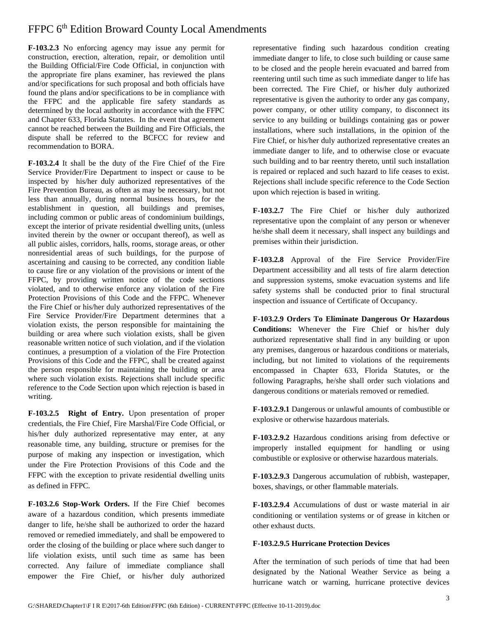**F-103.2.3** No enforcing agency may issue any permit for construction, erection, alteration, repair, or demolition until the Building Official/Fire Code Official, in conjunction with the appropriate fire plans examiner, has reviewed the plans and/or specifications for such proposal and both officials have found the plans and/or specifications to be in compliance with the FFPC and the applicable fire safety standards as determined by the local authority in accordance with the FFPC and Chapter 633, Florida Statutes. In the event that agreement cannot be reached between the Building and Fire Officials, the dispute shall be referred to the BCFCC for review and recommendation to BORA.

**F-103.2.4** It shall be the duty of the Fire Chief of the Fire Service Provider/Fire Department to inspect or cause to be inspected by his/her duly authorized representatives of the Fire Prevention Bureau, as often as may be necessary, but not less than annually, during normal business hours, for the establishment in question, all buildings and premises, including common or public areas of condominium buildings, except the interior of private residential dwelling units, (unless invited therein by the owner or occupant thereof), as well as all public aisles, corridors, halls, rooms, storage areas, or other nonresidential areas of such buildings, for the purpose of ascertaining and causing to be corrected, any condition liable to cause fire or any violation of the provisions or intent of the FFPC, by providing written notice of the code sections violated, and to otherwise enforce any violation of the Fire Protection Provisions of this Code and the FFPC. Whenever the Fire Chief or his/her duly authorized representatives of the Fire Service Provider/Fire Department determines that a violation exists, the person responsible for maintaining the building or area where such violation exists, shall be given reasonable written notice of such violation, and if the violation continues, a presumption of a violation of the Fire Protection Provisions of this Code and the FFPC, shall be created against the person responsible for maintaining the building or area where such violation exists. Rejections shall include specific reference to the Code Section upon which rejection is based in writing.

**F-103.2.5 Right of Entry.** Upon presentation of proper credentials, the Fire Chief, Fire Marshal/Fire Code Official, or his/her duly authorized representative may enter, at any reasonable time, any building, structure or premises for the purpose of making any inspection or investigation, which under the Fire Protection Provisions of this Code and the FFPC with the exception to private residential dwelling units as defined in FFPC.

**F-103.2.6 Stop-Work Orders.** If the Fire Chief becomes aware of a hazardous condition, which presents immediate danger to life, he/she shall be authorized to order the hazard removed or remedied immediately, and shall be empowered to order the closing of the building or place where such danger to life violation exists, until such time as same has been corrected. Any failure of immediate compliance shall empower the Fire Chief, or his/her duly authorized representative finding such hazardous condition creating immediate danger to life, to close such building or cause same to be closed and the people herein evacuated and barred from reentering until such time as such immediate danger to life has been corrected. The Fire Chief, or his/her duly authorized representative is given the authority to order any gas company, power company, or other utility company, to disconnect its service to any building or buildings containing gas or power installations, where such installations, in the opinion of the Fire Chief, or his/her duly authorized representative creates an immediate danger to life, and to otherwise close or evacuate such building and to bar reentry thereto, until such installation is repaired or replaced and such hazard to life ceases to exist. Rejections shall include specific reference to the Code Section upon which rejection is based in writing.

**F-103.2.7** The Fire Chief or his/her duly authorized representative upon the complaint of any person or whenever he/she shall deem it necessary, shall inspect any buildings and premises within their jurisdiction.

**F-103.2.8** Approval of the Fire Service Provider/Fire Department accessibility and all tests of fire alarm detection and suppression systems, smoke evacuation systems and life safety systems shall be conducted prior to final structural inspection and issuance of Certificate of Occupancy.

**F-103.2.9 Orders To Eliminate Dangerous Or Hazardous Conditions:** Whenever the Fire Chief or his/her duly authorized representative shall find in any building or upon any premises, dangerous or hazardous conditions or materials, including, but not limited to violations of the requirements encompassed in Chapter 633, Florida Statutes, or the following Paragraphs, he/she shall order such violations and dangerous conditions or materials removed or remedied.

**F-103.2.9.1** Dangerous or unlawful amounts of combustible or explosive or otherwise hazardous materials.

**F-103.2.9.2** Hazardous conditions arising from defective or improperly installed equipment for handling or using combustible or explosive or otherwise hazardous materials.

**F-103.2.9.3** Dangerous accumulation of rubbish, wastepaper, boxes, shavings, or other flammable materials.

**F-103.2.9.4** Accumulations of dust or waste material in air conditioning or ventilation systems or of grease in kitchen or other exhaust ducts.

#### **F-103.2.9.5 Hurricane Protection Devices**

After the termination of such periods of time that had been designated by the National Weather Service as being a hurricane watch or warning, hurricane protective devices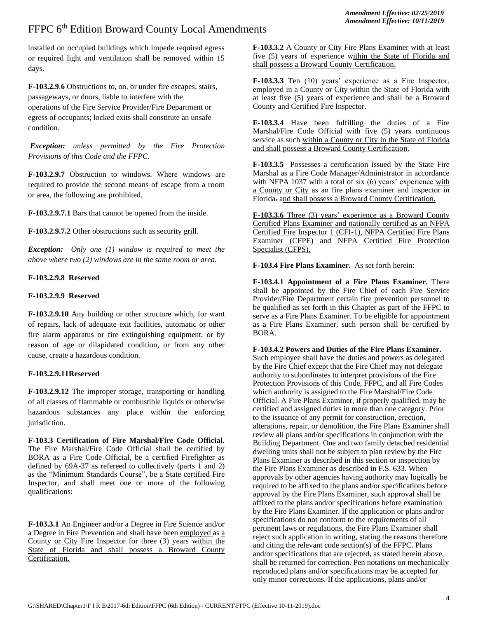installed on occupied buildings which impede required egress or required light and ventilation shall be removed within 15 days.

**F-103.2.9**.**6** Obstructions to, on, or under fire escapes, stairs, passageways, or doors, liable to interfere with the operations of the Fire Service Provider/Fire Department or egress of occupants; locked exits shall constitute an unsafe condition.

*Exception: unless permitted by the Fire Protection Provisions of this Code and the FFPC.*

**F-103.2.9.7** Obstruction to windows. Where windows are required to provide the second means of escape from a room or area, the following are prohibited.

**F-103.2.9.7.1** Bars that cannot be opened from the inside.

**F-103.2.9.7.2** Other obstructions such as security grill.

*Exception: Only one (1) window is required to meet the above where two (2) windows are in the same room or area.* 

#### **F-103.2.9.8 Reserved**

#### **F-103.2.9.9 Reserved**

**F-103.2.9.10** Any building or other structure which, for want of repairs, lack of adequate exit facilities, automatic or other fire alarm apparatus or fire extinguishing equipment, or by reason of age or dilapidated condition, or from any other cause, create a hazardous condition.

#### **F-103.2.9.11Reserved**

**F-103.2.9.12** The improper storage, transporting or handling of all classes of flammable or combustible liquids or otherwise hazardous substances any place within the enforcing jurisdiction.

**F-103.3 Certification of Fire Marshal/Fire Code Official.**  The Fire Marshal/Fire Code Official shall be certified by BORA as a Fire Code Official, be a certified Firefighter as defined by 69A-37 as refereed to collectively (parts 1 and 2) as the "Minimum Standards Course", be a State certified Fire Inspector, and shall meet one or more of the following qualifications:

**F-103.3.1** An Engineer and/or a Degree in Fire Science and/or a Degree in Fire Prevention and shall have been employed as a County or City Fire Inspector for three (3) years within the State of Florida and shall possess a Broward County Certification.

**F-103.3.2** A County or City Fire Plans Examiner with at least five (5) years of experience within the State of Florida and shall possess a Broward County Certification.

**F-103.3.3** Ten (10) years' experience as a Fire Inspector, employed in a County or City within the State of Florida with at least five (5) years of experience and shall be a Broward County and Certified Fire Inspector.

**F-103.3.4** Have been fulfilling the duties of a Fire Marshal/Fire Code Official with five (5) years continuous service as such within a County or City in the State of Florida and shall possess a Broward County Certification.

**F-103.3.5** Possesses a certification issued by the State Fire Marshal as a Fire Code Manager/Administrator in accordance with NFPA 1037 with a total of six (6) years' experience with a County or City as an fire plans examiner and inspector in Florida. and shall possess a Broward County Certification.

**F-103.3.6** Three (3) years' experience as a Broward County Certified Plans Examiner and nationally certified as an NFPA Certified Fire Inspector 1 (CFI-1), NFPA Certified Fire Plans Examiner (CFPE) and NFPA Certified Fire Protection Specialist (CFPS).

**F-103.4 Fire Plans Examiner.** As set forth herein:

**F-103.4.1 Appointment of a Fire Plans Examiner.** There shall be appointed by the Fire Chief of each Fire Service Provider/Fire Department certain fire prevention personnel to be qualified as set forth in this Chapter as part of the FFPC to serve as a Fire Plans Examiner. To be eligible for appointment as a Fire Plans Examiner, such person shall be certified by BORA.

#### **F-103.4.2 Powers and Duties of the Fire Plans Examiner.**

Such employee shall have the duties and powers as delegated by the Fire Chief except that the Fire Chief may not delegate authority to subordinates to interpret provisions of the Fire Protection Provisions of this Code, FFPC, and all Fire Codes which authority is assigned to the Fire Marshal/Fire Code Official. A Fire Plans Examiner, if properly qualified, may be certified and assigned duties in more than one category. Prior to the issuance of any permit for construction, erection, alterations, repair, or demolition, the Fire Plans Examiner shall review all plans and/or specifications in conjunction with the Building Department. One and two family detached residential dwelling units shall not be subject to plan review by the Fire Plans Examiner as described in this section or inspection by the Fire Plans Examiner as described in F.S. 633. When approvals by other agencies having authority may logically be required to be affixed to the plans and/or specifications before approval by the Fire Plans Examiner, such approval shall be affixed to the plans and/or specifications before examination by the Fire Plans Examiner. If the application or plans and/or specifications do not conform to the requirements of all pertinent laws or regulations, the Fire Plans Examiner shall reject such application in writing, stating the reasons therefore and citing the relevant code section(s) of the FFPC. Plans and/or specifications that are rejected, as stated herein above, shall be returned for correction. Pen notations on mechanically reproduced plans and/or specifications may be accepted for only minor corrections. If the applications, plans and/or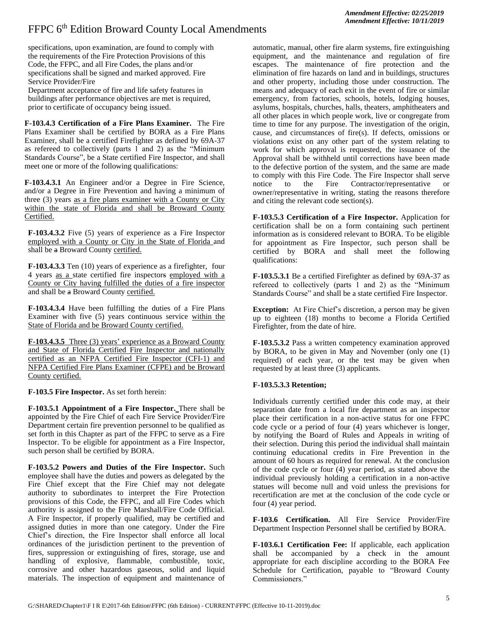specifications, upon examination, are found to comply with the requirements of the Fire Protection Provisions of this Code, the FFPC, and all Fire Codes, the plans and/or specifications shall be signed and marked approved. Fire Service Provider/Fire

Department acceptance of fire and life safety features in buildings after performance objectives are met is required, prior to certificate of occupancy being issued.

**F-103.4.3 Certification of a Fire Plans Examiner.** The Fire Plans Examiner shall be certified by BORA as a Fire Plans Examiner, shall be a certified Firefighter as defined by 69A-37 as refereed to collectively (parts 1 and 2) as the "Minimum Standards Course", be a State certified Fire Inspector, and shall meet one or more of the following qualifications:

**F-103.4.3.1** An Engineer and/or a Degree in Fire Science, and/or a Degree in Fire Prevention and having a minimum of three (3) years as a fire plans examiner with a County or City within the state of Florida and shall be Broward County Certified.

**F-103.4.3.2** Five (5) years of experience as a Fire Inspector employed with a County or City in the State of Florida and shall be a Broward County certified.

**F-103.4.3.3** Ten (10) years of experience as a firefighter, four 4 years as a state certified fire inspectors employed with a County or City having fulfilled the duties of a fire inspector and shall be a Broward County certified.

**F-103.4.3.4** Have been fulfilling the duties of a Fire Plans Examiner with five (5) years continuous service within the State of Florida and be Broward County certified.

**F-103.4.3.5** Three (3) years' experience as a Broward County and State of Florida Certified Fire Inspector and nationally certified as an NFPA Certified Fire Inspector (CFI-1) and NFPA Certified Fire Plans Examiner (CFPE) and be Broward County certified.

**F-103.5 Fire Inspector.** As set forth herein:

**F-103.5.1 Appointment of a Fire Inspector.** There shall be appointed by the Fire Chief of each Fire Service Provider/Fire Department certain fire prevention personnel to be qualified as set forth in this Chapter as part of the FFPC to serve as a Fire Inspector. To be eligible for appointment as a Fire Inspector, such person shall be certified by BORA.

**F-103.5.2 Powers and Duties of the Fire Inspector.** Such employee shall have the duties and powers as delegated by the Fire Chief except that the Fire Chief may not delegate authority to subordinates to interpret the Fire Protection provisions of this Code, the FFPC, and all Fire Codes which authority is assigned to the Fire Marshall/Fire Code Official. A Fire Inspector, if properly qualified, may be certified and assigned duties in more than one category. Under the Fire Chief's direction, the Fire Inspector shall enforce all local ordinances of the jurisdiction pertinent to the prevention of fires, suppression or extinguishing of fires, storage, use and handling of explosive, flammable, combustible, toxic, corrosive and other hazardous gaseous, solid and liquid materials. The inspection of equipment and maintenance of

automatic, manual, other fire alarm systems, fire extinguishing equipment, and the maintenance and regulation of fire escapes. The maintenance of fire protection and the elimination of fire hazards on land and in buildings, structures and other property, including those under construction. The means and adequacy of each exit in the event of fire or similar emergency, from factories, schools, hotels, lodging houses, asylums, hospitals, churches, halls, theaters, amphitheaters and all other places in which people work, live or congregate from time to time for any purpose. The investigation of the origin, cause, and circumstances of fire(s). If defects, omissions or violations exist on any other part of the system relating to work for which approval is requested, the issuance of the Approval shall be withheld until corrections have been made to the defective portion of the system, and the same are made to comply with this Fire Code. The Fire Inspector shall serve notice to the Fire Contractor/representative or owner/representative in writing, stating the reasons therefore and citing the relevant code section(s).

**F-103.5.3 Certification of a Fire Inspector.** Application for certification shall be on a form containing such pertinent information as is considered relevant to BORA. To be eligible for appointment as Fire Inspector, such person shall be certified by BORA and shall meet the following qualifications:

**F-103.5.3.1** Be a certified Firefighter as defined by 69A-37 as refereed to collectively (parts 1 and 2) as the "Minimum Standards Course" and shall be a state certified Fire Inspector.

**Exception:** At Fire Chief's discretion, a person may be given up to eighteen (18) months to become a Florida Certified Firefighter, from the date of hire.

**F-103.5.3.2** Pass a written competency examination approved by BORA, to be given in May and November (only one (1) required) of each year, or the test may be given when requested by at least three (3) applicants.

#### **F-103.5.3.3 Retention;**

Individuals currently certified under this code may, at their separation date from a local fire department as an inspector place their certification in a non-active status for one FFPC code cycle or a period of four (4) years whichever is longer, by notifying the Board of Rules and Appeals in writing of their selection. During this period the individual shall maintain continuing educational credits in Fire Prevention in the amount of 60 hours as required for renewal. At the conclusion of the code cycle or four (4) year period, as stated above the individual previously holding a certification in a non-active statues will become null and void unless the previsions for recertification are met at the conclusion of the code cycle or four (4) year period.

**F-103.6 Certification.** All Fire Service Provider/Fire Department Inspection Personnel shall be certified by BORA.

**F-103.6.1 Certification Fee:** If applicable, each application shall be accompanied by a check in the amount appropriate for each discipline according to the BORA Fee Schedule for Certification, payable to "Broward County Commissioners."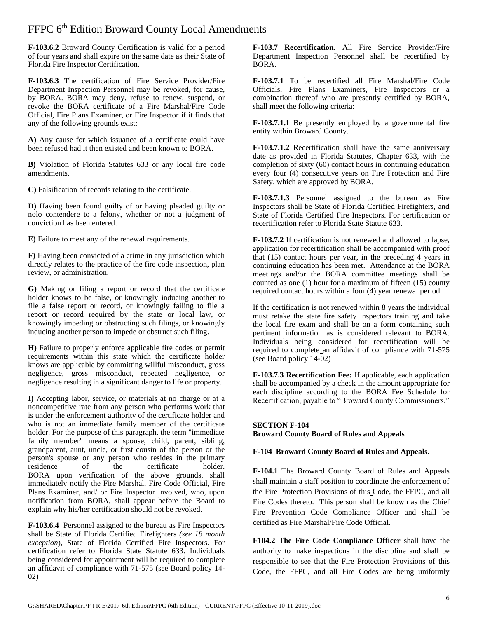**F-103.6.2** Broward County Certification is valid for a period of four years and shall expire on the same date as their State of Florida Fire Inspector Certification.

**F-103.6.3** The certification of Fire Service Provider/Fire Department Inspection Personnel may be revoked, for cause, by BORA. BORA may deny, refuse to renew, suspend, or revoke the BORA certificate of a Fire Marshal/Fire Code Official, Fire Plans Examiner, or Fire Inspector if it finds that any of the following grounds exist:

**A)** Any cause for which issuance of a certificate could have been refused had it then existed and been known to BORA.

**B)** Violation of Florida Statutes 633 or any local fire code amendments.

**C)** Falsification of records relating to the certificate.

**D)** Having been found guilty of or having pleaded guilty or nolo contendere to a felony, whether or not a judgment of conviction has been entered.

**E)** Failure to meet any of the renewal requirements.

**F)** Having been convicted of a crime in any jurisdiction which directly relates to the practice of the fire code inspection, plan review, or administration.

**G)** Making or filing a report or record that the certificate holder knows to be false, or knowingly inducing another to file a false report or record, or knowingly failing to file a report or record required by the state or local law, or knowingly impeding or obstructing such filings, or knowingly inducing another person to impede or obstruct such filing.

**H)** Failure to properly enforce applicable fire codes or permit requirements within this state which the certificate holder knows are applicable by committing willful misconduct, gross negligence, gross misconduct, repeated negligence, or negligence resulting in a significant danger to life or property.

**I)** Accepting labor, service, or materials at no charge or at a noncompetitive rate from any person who performs work that is under the enforcement authority of the certificate holder and who is not an immediate family member of the certificate holder. For the purpose of this paragraph, the term "immediate family member" means a spouse, child, parent, sibling, grandparent, aunt, uncle, or first cousin of the person or the person's spouse or any person who resides in the primary residence of the certificate holder. BORA upon verification of the above grounds, shall immediately notify the Fire Marshal, Fire Code Official, Fire Plans Examiner, and/ or Fire Inspector involved, who, upon notification from BORA, shall appear before the Board to explain why his/her certification should not be revoked.

**F-103.6.4** Personnel assigned to the bureau as Fire Inspectors shall be State of Florida Certified Firefighters *(see 18 month exception*), State of Florida Certified Fire Inspectors. For certification refer to Florida State Statute 633. Individuals being considered for appointment will be required to complete an affidavit of compliance with 71-575 (see Board policy 14- 02)

**F-103.7 Recertification.** All Fire Service Provider/Fire Department Inspection Personnel shall be recertified by BORA.

**F-103.7.1** To be recertified all Fire Marshal/Fire Code Officials, Fire Plans Examiners, Fire Inspectors or a combination thereof who are presently certified by BORA, shall meet the following criteria:

**F-103.7.1.1** Be presently employed by a governmental fire entity within Broward County.

**F-103.7.1.2** Recertification shall have the same anniversary date as provided in Florida Statutes, Chapter 633, with the completion of sixty (60) contact hours in continuing education every four (4) consecutive years on Fire Protection and Fire Safety, which are approved by BORA.

**F-103.7.1.3** Personnel assigned to the bureau as Fire Inspectors shall be State of Florida Certified Firefighters, and State of Florida Certified Fire Inspectors. For certification or recertification refer to Florida State Statute 633.

**F-103.7.2** If certification is not renewed and allowed to lapse, application for recertification shall be accompanied with proof that (15) contact hours per year, in the preceding 4 years in continuing education has been met. Attendance at the BORA meetings and/or the BORA committee meetings shall be counted as one (1) hour for a maximum of fifteen (15) county required contact hours within a four (4) year renewal period.

If the certification is not renewed within 8 years the individual must retake the state fire safety inspectors training and take the local fire exam and shall be on a form containing such pertinent information as is considered relevant to BORA. Individuals being considered for recertification will be required to complete an affidavit of compliance with 71-575 (see Board policy 14-02)

**F-103.7.3 Recertification Fee:** If applicable, each application shall be accompanied by a check in the amount appropriate for each discipline according to the BORA Fee Schedule for Recertification, payable to "Broward County Commissioners."

#### **SECTION F-104 Broward County Board of Rules and Appeals**

#### **F-104 Broward County Board of Rules and Appeals.**

**F-104.1** The Broward County Board of Rules and Appeals shall maintain a staff position to coordinate the enforcement of the Fire Protection Provisions of this Code, the FFPC, and all Fire Codes thereto. This person shall be known as the Chief Fire Prevention Code Compliance Officer and shall be certified as Fire Marshal/Fire Code Official.

**F104.2 The Fire Code Compliance Officer** shall have the authority to make inspections in the discipline and shall be responsible to see that the Fire Protection Provisions of this Code, the FFPC, and all Fire Codes are being uniformly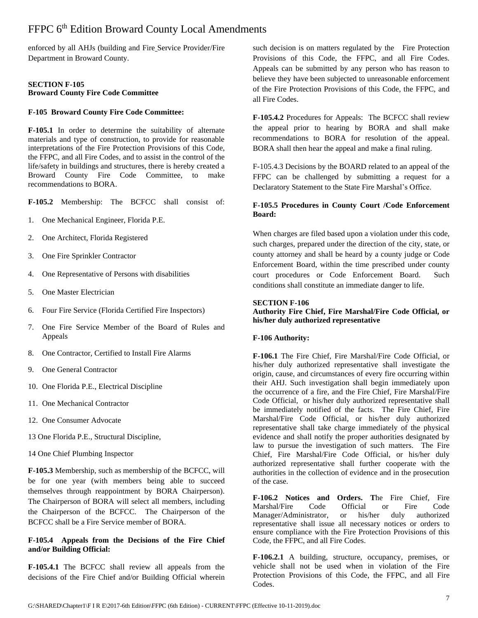enforced by all AHJs (building and Fire Service Provider/Fire Department in Broward County.

#### **SECTION F-105 Broward County Fire Code Committee**

#### **F-105 Broward County Fire Code Committee:**

**F-105.1** In order to determine the suitability of alternate materials and type of construction, to provide for reasonable interpretations of the Fire Protection Provisions of this Code, the FFPC, and all Fire Codes, and to assist in the control of the life/safety in buildings and structures, there is hereby created a Broward County Fire Code Committee, to make recommendations to BORA.

**F-105.2** Membership: The BCFCC shall consist of:

- 1. One Mechanical Engineer, Florida P.E.
- 2. One Architect, Florida Registered
- 3. One Fire Sprinkler Contractor
- 4. One Representative of Persons with disabilities
- 5. One Master Electrician
- 6. Four Fire Service (Florida Certified Fire Inspectors)
- 7. One Fire Service Member of the Board of Rules and Appeals
- 8. One Contractor, Certified to Install Fire Alarms
- 9. One General Contractor
- 10. One Florida P.E., Electrical Discipline
- 11. One Mechanical Contractor
- 12. One Consumer Advocate
- 13 One Florida P.E., Structural Discipline,
- 14 One Chief Plumbing Inspector

**F-105.3** Membership, such as membership of the BCFCC, will be for one year (with members being able to succeed themselves through reappointment by BORA Chairperson). The Chairperson of BORA will select all members, including the Chairperson of the BCFCC. The Chairperson of the BCFCC shall be a Fire Service member of BORA.

#### **F-105.4 Appeals from the Decisions of the Fire Chief and/or Building Official:**

**F-105.4.1** The BCFCC shall review all appeals from the decisions of the Fire Chief and/or Building Official wherein

such decision is on matters regulated by the Fire Protection Provisions of this Code, the FFPC, and all Fire Codes. Appeals can be submitted by any person who has reason to believe they have been subjected to unreasonable enforcement of the Fire Protection Provisions of this Code, the FFPC, and all Fire Codes.

**F-105.4.2** Procedures for Appeals: The BCFCC shall review the appeal prior to hearing by BORA and shall make recommendations to BORA for resolution of the appeal. BORA shall then hear the appeal and make a final ruling.

F-105.4.3 Decisions by the BOARD related to an appeal of the FFPC can be challenged by submitting a request for a Declaratory Statement to the State Fire Marshal's Office.

#### **F-105.5 Procedures in County Court /Code Enforcement Board:**

When charges are filed based upon a violation under this code, such charges, prepared under the direction of the city, state, or county attorney and shall be heard by a county judge or Code Enforcement Board, within the time prescribed under county court procedures or Code Enforcement Board. Such conditions shall constitute an immediate danger to life.

#### **SECTION F-106**

**Authority Fire Chief, Fire Marshal/Fire Code Official, or his/her duly authorized representative**

#### **F-106 Authority:**

**F-106.1** The Fire Chief, Fire Marshal/Fire Code Official, or his/her duly authorized representative shall investigate the origin, cause, and circumstances of every fire occurring within their AHJ. Such investigation shall begin immediately upon the occurrence of a fire, and the Fire Chief, Fire Marshal/Fire Code Official, or his/her duly authorized representative shall be immediately notified of the facts. The Fire Chief, Fire Marshal/Fire Code Official, or his/her duly authorized representative shall take charge immediately of the physical evidence and shall notify the proper authorities designated by law to pursue the investigation of such matters. The Fire Chief, Fire Marshal/Fire Code Official, or his/her duly authorized representative shall further cooperate with the authorities in the collection of evidence and in the prosecution of the case.

**F-106.2 Notices and Orders. T**he Fire Chief, Fire Marshal/Fire Code Official or Fire Code Manager/Administrator, or his/her duly authorized representative shall issue all necessary notices or orders to ensure compliance with the Fire Protection Provisions of this Code, the FFPC, and all Fire Codes.

**F-106.2.1** A building, structure, occupancy, premises, or vehicle shall not be used when in violation of the Fire Protection Provisions of this Code, the FFPC, and all Fire Codes.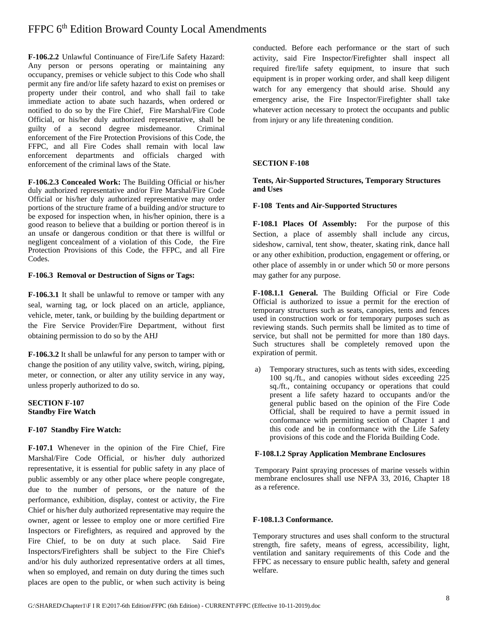**F-106.2.2** Unlawful Continuance of Fire/Life Safety Hazard: Any person or persons operating or maintaining any occupancy, premises or vehicle subject to this Code who shall permit any fire and/or life safety hazard to exist on premises or property under their control, and who shall fail to take immediate action to abate such hazards, when ordered or notified to do so by the Fire Chief, Fire Marshal/Fire Code Official, or his/her duly authorized representative, shall be guilty of a second degree misdemeanor. Criminal enforcement of the Fire Protection Provisions of this Code, the FFPC, and all Fire Codes shall remain with local law enforcement departments and officials charged with enforcement of the criminal laws of the State.

**F-106.2.3 Concealed Work:** The Building Official or his/her duly authorized representative and/or Fire Marshal/Fire Code Official or his/her duly authorized representative may order portions of the structure frame of a building and/or structure to be exposed for inspection when, in his/her opinion, there is a good reason to believe that a building or portion thereof is in an unsafe or dangerous condition or that there is willful or negligent concealment of a violation of this Code, the Fire Protection Provisions of this Code, the FFPC, and all Fire Codes.

#### **F-106.3 Removal or Destruction of Signs or Tags:**

**F-106.3.1** It shall be unlawful to remove or tamper with any seal, warning tag, or lock placed on an article, appliance, vehicle, meter, tank, or building by the building department or the Fire Service Provider/Fire Department, without first obtaining permission to do so by the AHJ

**F-106.3.2** It shall be unlawful for any person to tamper with or change the position of any utility valve, switch, wiring, piping, meter, or connection, or alter any utility service in any way, unless properly authorized to do so.

#### **SECTION F-107 Standby Fire Watch**

#### **F-107 Standby Fire Watch:**

**F-107.1** Whenever in the opinion of the Fire Chief, Fire Marshal/Fire Code Official, or his/her duly authorized representative, it is essential for public safety in any place of public assembly or any other place where people congregate, due to the number of persons, or the nature of the performance, exhibition, display, contest or activity, the Fire Chief or his/her duly authorized representative may require the owner, agent or lessee to employ one or more certified Fire Inspectors or Firefighters, as required and approved by the Fire Chief, to be on duty at such place. Said Fire Inspectors/Firefighters shall be subject to the Fire Chief's and/or his duly authorized representative orders at all times, when so employed, and remain on duty during the times such places are open to the public, or when such activity is being

conducted. Before each performance or the start of such activity, said Fire Inspector/Firefighter shall inspect all required fire/life safety equipment, to insure that such equipment is in proper working order, and shall keep diligent watch for any emergency that should arise. Should any emergency arise, the Fire Inspector/Firefighter shall take whatever action necessary to protect the occupants and public from injury or any life threatening condition.

#### **SECTION F-108**

**Tents, Air-Supported Structures, Temporary Structures and Uses**

#### **F-108 Tents and Air-Supported Structures**

**F-108.1 Places Of Assembly:** For the purpose of this Section, a place of assembly shall include any circus, sideshow, carnival, tent show, theater, skating rink, dance hall or any other exhibition, production, engagement or offering, or other place of assembly in or under which 50 or more persons may gather for any purpose.

**F-108.1.1 General.** The Building Official or Fire Code Official is authorized to issue a permit for the erection of temporary structures such as seats, canopies, tents and fences used in construction work or for temporary purposes such as reviewing stands. Such permits shall be limited as to time of service, but shall not be permitted for more than 180 days. Such structures shall be completely removed upon the expiration of permit.

a) Temporary structures, such as tents with sides, exceeding 100 sq./ft*.*, and canopies without sides exceeding 225 sq./ft., containing occupancy or operations that could present a life safety hazard to occupants and/or the general public based on the opinion of the Fire Code Official, shall be required to have a permit issued in conformance with permitting section of Chapter 1 and this code and be in conformance with the Life Safety provisions of this code and the Florida Building Code.

#### **F-108.1.2 Spray Application Membrane Enclosures**

Temporary Paint spraying processes of marine vessels within membrane enclosures shall use NFPA 33, 2016, Chapter 18 as a reference.

#### **F-108.1.3 Conformance.**

Temporary structures and uses shall conform to the structural strength, fire safety, means of egress, accessibility, light, ventilation and sanitary requirements of this Code and the FFPC as necessary to ensure public health, safety and general welfare.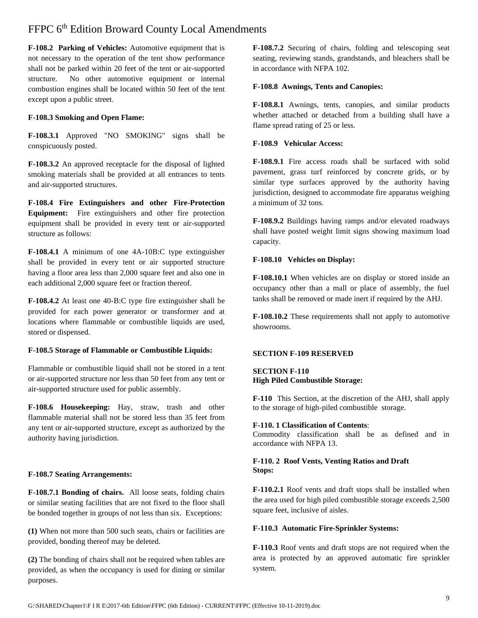**F-108.2 Parking of Vehicles:** Automotive equipment that is not necessary to the operation of the tent show performance shall not be parked within 20 feet of the tent or air-supported structure. No other automotive equipment or internal combustion engines shall be located within 50 feet of the tent except upon a public street.

#### **F-108.3 Smoking and Open Flame:**

**F-108.3.1** Approved "NO SMOKING" signs shall be conspicuously posted.

**F-108.3.2** An approved receptacle for the disposal of lighted smoking materials shall be provided at all entrances to tents and air-supported structures.

**F-108.4 Fire Extinguishers and other Fire-Protection Equipment:** Fire extinguishers and other fire protection equipment shall be provided in every tent or air-supported structure as follows:

**F-108.4.1** A minimum of one 4A-10B:C type extinguisher shall be provided in every tent or air supported structure having a floor area less than 2,000 square feet and also one in each additional 2,000 square feet or fraction thereof.

**F-108.4.2** At least one 40-B:C type fire extinguisher shall be provided for each power generator or transformer and at locations where flammable or combustible liquids are used, stored or dispensed.

#### **F-108.5 Storage of Flammable or Combustible Liquids:**

Flammable or combustible liquid shall not be stored in a tent or air-supported structure nor less than 50 feet from any tent or air-supported structure used for public assembly.

**F-108.6 Housekeeping:** Hay, straw, trash and other flammable material shall not be stored less than 35 feet from any tent or air-supported structure, except as authorized by the authority having jurisdiction.

#### **F-108.7 Seating Arrangements:**

**F-108.7.1 Bonding of chairs.** All loose seats, folding chairs or similar seating facilities that are not fixed to the floor shall be bonded together in groups of not less than six. Exceptions:

**(1)** When not more than 500 such seats, chairs or facilities are provided, bonding thereof may be deleted.

**(2)** The bonding of chairs shall not be required when tables are provided, as when the occupancy is used for dining or similar purposes.

**F-108.7.2** Securing of chairs, folding and telescoping seat seating, reviewing stands, grandstands, and bleachers shall be in accordance with NFPA 102.

#### **F-108.8 Awnings, Tents and Canopies:**

**F-108.8.1** Awnings, tents, canopies, and similar products whether attached or detached from a building shall have a flame spread rating of 25 or less.

#### **F-108.9 Vehicular Access:**

**F-108.9.1** Fire access roads shall be surfaced with solid pavement, grass turf reinforced by concrete grids, or by similar type surfaces approved by the authority having jurisdiction, designed to accommodate fire apparatus weighing a minimum of 32 tons.

**F-108.9.2** Buildings having ramps and/or elevated roadways shall have posted weight limit signs showing maximum load capacity.

#### **F-108.10 Vehicles on Display:**

**F-108.10.1** When vehicles are on display or stored inside an occupancy other than a mall or place of assembly, the fuel tanks shall be removed or made inert if required by the AHJ.

**F-108.10.2** These requirements shall not apply to automotive showrooms.

#### **SECTION F-109 RESERVED**

#### **SECTION F-110 High Piled Combustible Storage:**

**F-110** This Section, at the discretion of the AHJ, shall apply to the storage of high-piled combustible storage.

#### **F-110. 1 Classification of Contents**:

Commodity classification shall be as defined and in accordance with NFPA 13.

#### **F-110. 2 Roof Vents, Venting Ratios and Draft Stops:**

**F-110.2.1** Roof vents and draft stops shall be installed when the area used for high piled combustible storage exceeds 2,500 square feet, inclusive of aisles.

#### **F-110.3 Automatic Fire-Sprinkler Systems:**

**F-110.3** Roof vents and draft stops are not required when the area is protected by an approved automatic fire sprinkler system.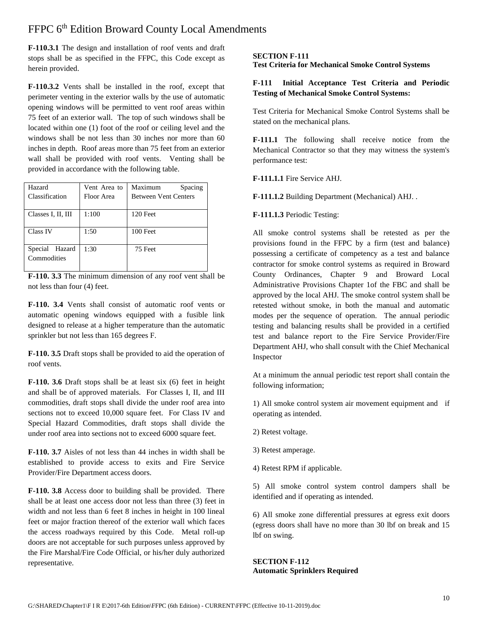**F-110.3.1** The design and installation of roof vents and draft stops shall be as specified in the FFPC, this Code except as herein provided.

**F-110.3.2** Vents shall be installed in the roof, except that perimeter venting in the exterior walls by the use of automatic opening windows will be permitted to vent roof areas within 75 feet of an exterior wall. The top of such windows shall be located within one (1) foot of the roof or ceiling level and the windows shall be not less than 30 inches nor more than 60 inches in depth. Roof areas more than 75 feet from an exterior wall shall be provided with roof vents. Venting shall be provided in accordance with the following table.

| Hazard             | Vent Area to | Maximum<br>Spacing          |  |
|--------------------|--------------|-----------------------------|--|
| Classification     | Floor Area   | <b>Between Vent Centers</b> |  |
|                    |              |                             |  |
| Classes I, II, III | 1:100        | 120 Feet                    |  |
|                    |              |                             |  |
| <b>Class IV</b>    | 1:50         | $100$ Feet                  |  |
|                    |              |                             |  |
| Special Hazard     | 1:30         | 75 Feet                     |  |
| Commodities        |              |                             |  |
|                    |              |                             |  |

**F-110. 3.3** The minimum dimension of any roof vent shall be not less than four (4) feet.

**F-110. 3.4** Vents shall consist of automatic roof vents or automatic opening windows equipped with a fusible link designed to release at a higher temperature than the automatic sprinkler but not less than 165 degrees F.

**F-110. 3.5** Draft stops shall be provided to aid the operation of roof vents.

**F-110. 3.6** Draft stops shall be at least six (6) feet in height and shall be of approved materials. For Classes I, II, and III commodities, draft stops shall divide the under roof area into sections not to exceed 10,000 square feet. For Class IV and Special Hazard Commodities, draft stops shall divide the under roof area into sections not to exceed 6000 square feet.

**F-110. 3.7** Aisles of not less than 44 inches in width shall be established to provide access to exits and Fire Service Provider/Fire Department access doors.

**F-110. 3.8** Access door to building shall be provided. There shall be at least one access door not less than three (3) feet in width and not less than 6 feet 8 inches in height in 100 lineal feet or major fraction thereof of the exterior wall which faces the access roadways required by this Code. Metal roll-up doors are not acceptable for such purposes unless approved by the Fire Marshal/Fire Code Official, or his/her duly authorized representative.

#### **SECTION F-111**

**Test Criteria for Mechanical Smoke Control Systems**

#### **F-111 Initial Acceptance Test Criteria and Periodic Testing of Mechanical Smoke Control Systems:**

Test Criteria for Mechanical Smoke Control Systems shall be stated on the mechanical plans.

**F-111.1** The following shall receive notice from the Mechanical Contractor so that they may witness the system's performance test:

#### **F-111.1.1** Fire Service AHJ.

**F-111.1.2** Building Department (Mechanical) AHJ. .

#### **F-111.1.3** Periodic Testing:

All smoke control systems shall be retested as per the provisions found in the FFPC by a firm (test and balance) possessing a certificate of competency as a test and balance contractor for smoke control systems as required in Broward County Ordinances, Chapter 9 and Broward Local Administrative Provisions Chapter 1of the FBC and shall be approved by the local AHJ. The smoke control system shall be retested without smoke, in both the manual and automatic modes per the sequence of operation. The annual periodic testing and balancing results shall be provided in a certified test and balance report to the Fire Service Provider/Fire Department AHJ, who shall consult with the Chief Mechanical Inspector

At a minimum the annual periodic test report shall contain the following information;

1) All smoke control system air movement equipment and if operating as intended.

- 2) Retest voltage.
- 3) Retest amperage.
- 4) Retest RPM if applicable.

5) All smoke control system control dampers shall be identified and if operating as intended.

6) All smoke zone differential pressures at egress exit doors (egress doors shall have no more than 30 lbf on break and 15 lbf on swing.

**SECTION F-112 Automatic Sprinklers Required**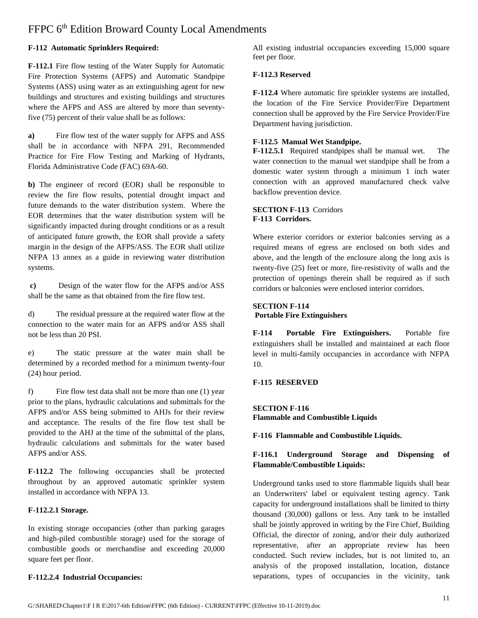#### **F-112 Automatic Sprinklers Required:**

**F-112.1** Fire flow testing of the Water Supply for Automatic Fire Protection Systems (AFPS) and Automatic Standpipe Systems (ASS) using water as an extinguishing agent for new buildings and structures and existing buildings and structures where the AFPS and ASS are altered by more than seventyfive (75) percent of their value shall be as follows:

**a)** Fire flow test of the water supply for AFPS and ASS shall be in accordance with NFPA 291, Recommended Practice for Fire Flow Testing and Marking of Hydrants, Florida Administrative Code (FAC) 69A-60.

**b)** The engineer of record (EOR) shall be responsible to review the fire flow results, potential drought impact and future demands to the water distribution system. Where the EOR determines that the water distribution system will be significantly impacted during drought conditions or as a result of anticipated future growth, the EOR shall provide a safety margin in the design of the AFPS/ASS. The EOR shall utilize NFPA 13 annex as a guide in reviewing water distribution systems.

**c)** Design of the water flow for the AFPS and/or ASS shall be the same as that obtained from the fire flow test.

d) The residual pressure at the required water flow at the connection to the water main for an AFPS and/or ASS shall not be less than 20 PSI.

e) The static pressure at the water main shall be determined by a recorded method for a minimum twenty-four (24) hour period.

f) Fire flow test data shall not be more than one (1) year prior to the plans, hydraulic calculations and submittals for the AFPS and/or ASS being submitted to AHJs for their review and acceptance. The results of the fire flow test shall be provided to the AHJ at the time of the submittal of the plans, hydraulic calculations and submittals for the water based AFPS and/or ASS.

**F-112.2** The following occupancies shall be protected throughout by an approved automatic sprinkler system installed in accordance with NFPA 13.

#### **F-112.2.1 Storage.**

In existing storage occupancies (other than parking garages and high-piled combustible storage) used for the storage of combustible goods or merchandise and exceeding 20,000 square feet per floor.

#### **F-112.2.4 Industrial Occupancies:**

All existing industrial occupancies exceeding 15,000 square feet per floor.

#### **F-112.3 Reserved**

**F-112.4** Where automatic fire sprinkler systems are installed, the location of the Fire Service Provider/Fire Department connection shall be approved by the Fire Service Provider/Fire Department having jurisdiction.

#### **F-112.5 Manual Wet Standpipe.**

**F-112.5.1** Required standpipes shall be manual wet. The water connection to the manual wet standpipe shall be from a domestic water system through a minimum 1 inch water connection with an approved manufactured check valve backflow prevention device.

#### **SECTION F-113** Corridors **F-113 Corridors.**

Where exterior corridors or exterior balconies serving as a required means of egress are enclosed on both sides and above, and the length of the enclosure along the long axis is twenty-five (25) feet or more, fire-resistivity of walls and the protection of openings therein shall be required as if such corridors or balconies were enclosed interior corridors.

#### **SECTION F-114 Portable Fire Extinguishers**

**F-114 Portable Fire Extinguishers.** Portable fire extinguishers shall be installed and maintained at each floor level in multi-family occupancies in accordance with NFPA 10.

#### **F-115 RESERVED**

**SECTION F-116 Flammable and Combustible Liquids**

**F-116 Flammable and Combustible Liquids.**

#### **F-116.1 Underground Storage and Dispensing of Flammable/Combustible Liquids:**

Underground tanks used to store flammable liquids shall bear an Underwriters' label or equivalent testing agency. Tank capacity for underground installations shall be limited to thirty thousand (30,000) gallons or less. Any tank to be installed shall be jointly approved in writing by the Fire Chief, Building Official, the director of zoning, and/or their duly authorized representative, after an appropriate review has been conducted. Such review includes, but is not limited to, an analysis of the proposed installation, location, distance separations, types of occupancies in the vicinity, tank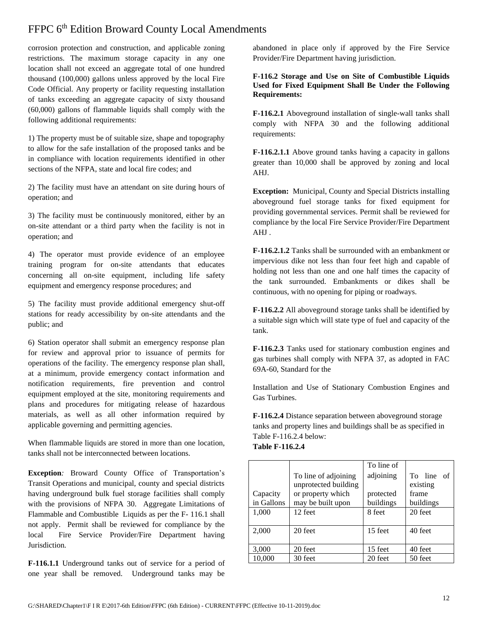corrosion protection and construction, and applicable zoning restrictions. The maximum storage capacity in any one location shall not exceed an aggregate total of one hundred thousand (100,000) gallons unless approved by the local Fire Code Official. Any property or facility requesting installation of tanks exceeding an aggregate capacity of sixty thousand (60,000) gallons of flammable liquids shall comply with the following additional requirements:

1) The property must be of suitable size, shape and topography to allow for the safe installation of the proposed tanks and be in compliance with location requirements identified in other sections of the NFPA, state and local fire codes; and

2) The facility must have an attendant on site during hours of operation; and

3) The facility must be continuously monitored, either by an on-site attendant or a third party when the facility is not in operation; and

4) The operator must provide evidence of an employee training program for on-site attendants that educates concerning all on-site equipment, including life safety equipment and emergency response procedures; and

5) The facility must provide additional emergency shut-off stations for ready accessibility by on-site attendants and the public; and

6) Station operator shall submit an emergency response plan for review and approval prior to issuance of permits for operations of the facility. The emergency response plan shall, at a minimum, provide emergency contact information and notification requirements, fire prevention and control equipment employed at the site, monitoring requirements and plans and procedures for mitigating release of hazardous materials, as well as all other information required by applicable governing and permitting agencies.

When flammable liquids are stored in more than one location, tanks shall not be interconnected between locations.

**Exception***:* Broward County Office of Transportation's Transit Operations and municipal, county and special districts having underground bulk fuel storage facilities shall comply with the provisions of NFPA 30. Aggregate Limitations of Flammable and Combustible Liquids as per the F- 116.1 shall not apply. Permit shall be reviewed for compliance by the local Fire Service Provider/Fire Department having Jurisdiction*.* 

**F-116.1.1** Underground tanks out of service for a period of one year shall be removed. Underground tanks may be abandoned in place only if approved by the Fire Service Provider/Fire Department having jurisdiction.

#### **F-116.2 Storage and Use on Site of Combustible Liquids Used for Fixed Equipment Shall Be Under the Following Requirements:**

**F-116.2.1** Aboveground installation of single-wall tanks shall comply with NFPA 30 and the following additional requirements:

**F-116.2.1.1** Above ground tanks having a capacity in gallons greater than 10,000 shall be approved by zoning and local AHJ.

**Exception:** Municipal, County and Special Districts installing aboveground fuel storage tanks for fixed equipment for providing governmental services. Permit shall be reviewed for compliance by the local Fire Service Provider/Fire Department AHJ .

**F-116.2.1.2** Tanks shall be surrounded with an embankment or impervious dike not less than four feet high and capable of holding not less than one and one half times the capacity of the tank surrounded. Embankments or dikes shall be continuous, with no opening for piping or roadways.

**F-116.2.2** All aboveground storage tanks shall be identified by a suitable sign which will state type of fuel and capacity of the tank.

**F-116.2.3** Tanks used for stationary combustion engines and gas turbines shall comply with NFPA 37, as adopted in FAC 69A-60, Standard for the

Installation and Use of Stationary Combustion Engines and Gas Turbines.

**F-116.2.4** Distance separation between aboveground storage tanks and property lines and buildings shall be as specified in Table F-116.2.4 below:

#### **Table F-116.2.4**

| Capacity<br>in Gallons<br>1,000 | To line of adjoining<br>unprotected building<br>or property which<br>may be built upon<br>12 feet | To line of<br>adjoining<br>protected<br>buildings<br>8 feet | To line<br>of<br>existing<br>frame<br>buildings<br>20 feet |
|---------------------------------|---------------------------------------------------------------------------------------------------|-------------------------------------------------------------|------------------------------------------------------------|
| 2,000                           | 20 feet                                                                                           | 15 feet                                                     | 40 feet                                                    |
| 3,000                           | 20 feet                                                                                           | 15 feet                                                     | 40 feet                                                    |
| 10,000                          | 30 feet                                                                                           | 20 feet                                                     | 50 feet                                                    |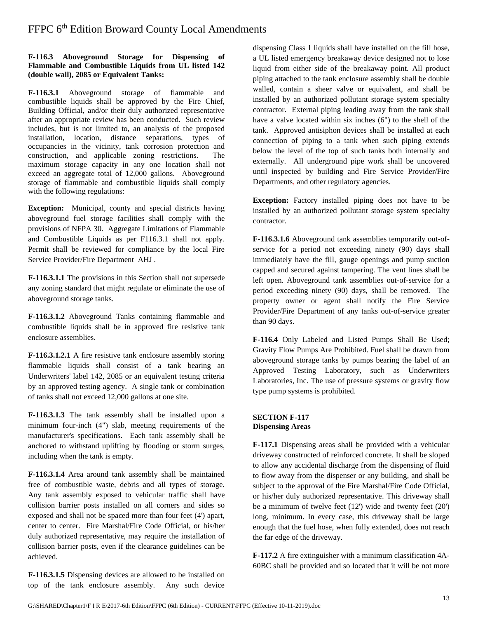#### **F-116.3 Aboveground Storage for Dispensing of Flammable and Combustible Liquids from UL listed 142 (double wall), 2085 or Equivalent Tanks:**

**F-116.3.1** Aboveground storage of flammable and combustible liquids shall be approved by the Fire Chief, Building Official, and/or their duly authorized representative after an appropriate review has been conducted. Such review includes, but is not limited to, an analysis of the proposed installation, location, distance separations, types of occupancies in the vicinity, tank corrosion protection and construction, and applicable zoning restrictions. The maximum storage capacity in any one location shall not exceed an aggregate total of 12,000 gallons. Aboveground storage of flammable and combustible liquids shall comply with the following regulations:

**Exception:** Municipal, county and special districts having aboveground fuel storage facilities shall comply with the provisions of NFPA 30. Aggregate Limitations of Flammable and Combustible Liquids as per F116.3.1 shall not apply. Permit shall be reviewed for compliance by the local Fire Service Provider/Fire Department AHJ *.*

**F-116.3.1.1** The provisions in this Section shall not supersede any zoning standard that might regulate or eliminate the use of aboveground storage tanks.

**F-116.3.1.2** Aboveground Tanks containing flammable and combustible liquids shall be in approved fire resistive tank enclosure assemblies.

**F-116.3.1.2.1** A fire resistive tank enclosure assembly storing flammable liquids shall consist of a tank bearing an Underwriters' label 142, 2085 or an equivalent testing criteria by an approved testing agency. A single tank or combination of tanks shall not exceed 12,000 gallons at one site.

**F-116.3.1.3** The tank assembly shall be installed upon a minimum four-inch (4") slab, meeting requirements of the manufacturer's specifications. Each tank assembly shall be anchored to withstand uplifting by flooding or storm surges, including when the tank is empty.

**F-116.3.1.4** Area around tank assembly shall be maintained free of combustible waste, debris and all types of storage. Any tank assembly exposed to vehicular traffic shall have collision barrier posts installed on all corners and sides so exposed and shall not be spaced more than four feet (4') apart, center to center. Fire Marshal/Fire Code Official, or his/her duly authorized representative, may require the installation of collision barrier posts, even if the clearance guidelines can be achieved.

**F-116.3.1.5** Dispensing devices are allowed to be installed on top of the tank enclosure assembly. Any such device

dispensing Class 1 liquids shall have installed on the fill hose, a UL listed emergency breakaway device designed not to lose liquid from either side of the breakaway point. All product piping attached to the tank enclosure assembly shall be double walled, contain a sheer valve or equivalent, and shall be installed by an authorized pollutant storage system specialty contractor. External piping leading away from the tank shall have a valve located within six inches (6") to the shell of the tank. Approved antisiphon devices shall be installed at each connection of piping to a tank when such piping extends below the level of the top of such tanks both internally and externally. All underground pipe work shall be uncovered until inspected by building and Fire Service Provider/Fire Departments, and other regulatory agencies.

**Exception:** Factory installed piping does not have to be installed by an authorized pollutant storage system specialty contractor.

**F-116.3.1.6** Aboveground tank assemblies temporarily out-ofservice for a period not exceeding ninety (90) days shall immediately have the fill, gauge openings and pump suction capped and secured against tampering. The vent lines shall be left open. Aboveground tank assemblies out-of-service for a period exceeding ninety (90) days, shall be removed. The property owner or agent shall notify the Fire Service Provider/Fire Department of any tanks out-of-service greater than 90 days.

**F-116.4** Only Labeled and Listed Pumps Shall Be Used; Gravity Flow Pumps Are Prohibited. Fuel shall be drawn from aboveground storage tanks by pumps bearing the label of an Approved Testing Laboratory, such as Underwriters Laboratories, Inc. The use of pressure systems or gravity flow type pump systems is prohibited.

#### **SECTION F-117 Dispensing Areas**

**F-117.1** Dispensing areas shall be provided with a vehicular driveway constructed of reinforced concrete. It shall be sloped to allow any accidental discharge from the dispensing of fluid to flow away from the dispenser or any building, and shall be subject to the approval of the Fire Marshal/Fire Code Official, or his/her duly authorized representative. This driveway shall be a minimum of twelve feet (12') wide and twenty feet (20') long, minimum. In every case, this driveway shall be large enough that the fuel hose, when fully extended, does not reach the far edge of the driveway.

**F-117.2** A fire extinguisher with a minimum classification 4A-60BC shall be provided and so located that it will be not more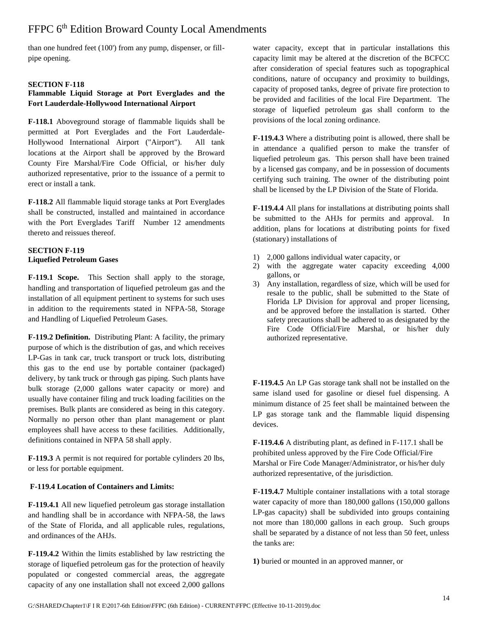than one hundred feet (100') from any pump, dispenser, or fillpipe opening.

#### **SECTION F-118**

#### **Flammable Liquid Storage at Port Everglades and the Fort Lauderdale-Hollywood International Airport**

**F-118.1** Aboveground storage of flammable liquids shall be permitted at Port Everglades and the Fort Lauderdale-Hollywood International Airport ("Airport"). All tank locations at the Airport shall be approved by the Broward County Fire Marshal/Fire Code Official, or his/her duly authorized representative, prior to the issuance of a permit to erect or install a tank.

**F-118.2** All flammable liquid storage tanks at Port Everglades shall be constructed, installed and maintained in accordance with the Port Everglades Tariff Number 12 amendments thereto and reissues thereof.

#### **SECTION F-119 Liquefied Petroleum Gases**

**F-119.1 Scope.** This Section shall apply to the storage, handling and transportation of liquefied petroleum gas and the installation of all equipment pertinent to systems for such uses in addition to the requirements stated in NFPA-58, Storage and Handling of Liquefied Petroleum Gases.

**F-119.2 Definition.** Distributing Plant: A facility, the primary purpose of which is the distribution of gas, and which receives LP-Gas in tank car, truck transport or truck lots, distributing this gas to the end use by portable container (packaged) delivery, by tank truck or through gas piping. Such plants have bulk storage (2,000 gallons water capacity or more) and usually have container filing and truck loading facilities on the premises. Bulk plants are considered as being in this category. Normally no person other than plant management or plant employees shall have access to these facilities. Additionally, definitions contained in NFPA 58 shall apply.

**F-119.3** A permit is not required for portable cylinders 20 lbs, or less for portable equipment.

#### **F-119.4 Location of Containers and Limits:**

**F-119.4.1** All new liquefied petroleum gas storage installation and handling shall be in accordance with NFPA-58, the laws of the State of Florida, and all applicable rules, regulations, and ordinances of the AHJs.

**F-119.4.2** Within the limits established by law restricting the storage of liquefied petroleum gas for the protection of heavily populated or congested commercial areas, the aggregate capacity of any one installation shall not exceed 2,000 gallons

water capacity, except that in particular installations this capacity limit may be altered at the discretion of the BCFCC after consideration of special features such as topographical conditions, nature of occupancy and proximity to buildings, capacity of proposed tanks, degree of private fire protection to be provided and facilities of the local Fire Department. The storage of liquefied petroleum gas shall conform to the provisions of the local zoning ordinance.

**F-119.4.3** Where a distributing point is allowed, there shall be in attendance a qualified person to make the transfer of liquefied petroleum gas. This person shall have been trained by a licensed gas company, and be in possession of documents certifying such training. The owner of the distributing point shall be licensed by the LP Division of the State of Florida.

**F-119.4.4** All plans for installations at distributing points shall be submitted to the AHJs for permits and approval. In addition, plans for locations at distributing points for fixed (stationary) installations of

- 1) 2,000 gallons individual water capacity, or
- 2) with the aggregate water capacity exceeding 4,000 gallons, or
- 3) Any installation, regardless of size, which will be used for resale to the public, shall be submitted to the State of Florida LP Division for approval and proper licensing, and be approved before the installation is started. Other safety precautions shall be adhered to as designated by the Fire Code Official/Fire Marshal, or his/her duly authorized representative.

**F-119.4.5** An LP Gas storage tank shall not be installed on the same island used for gasoline or diesel fuel dispensing. A minimum distance of 25 feet shall be maintained between the LP gas storage tank and the flammable liquid dispensing devices.

**F-119.4.6** A distributing plant, as defined in F-117.1 shall be prohibited unless approved by the Fire Code Official/Fire Marshal or Fire Code Manager/Administrator, or his/her duly authorized representative, of the jurisdiction.

**F-119.4.7** Multiple container installations with a total storage water capacity of more than 180,000 gallons (150,000 gallons LP-gas capacity) shall be subdivided into groups containing not more than 180,000 gallons in each group. Such groups shall be separated by a distance of not less than 50 feet, unless the tanks are:

**1)** buried or mounted in an approved manner, or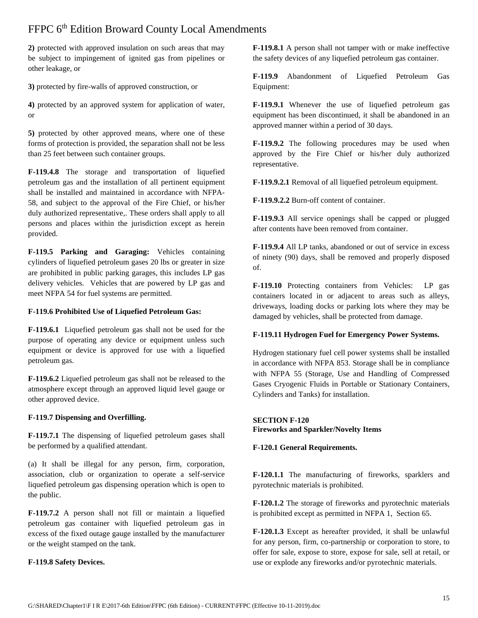**2)** protected with approved insulation on such areas that may be subject to impingement of ignited gas from pipelines or other leakage, or

**3)** protected by fire-walls of approved construction, or

**4)** protected by an approved system for application of water, or

**5)** protected by other approved means, where one of these forms of protection is provided, the separation shall not be less than 25 feet between such container groups.

**F-119.4.8** The storage and transportation of liquefied petroleum gas and the installation of all pertinent equipment shall be installed and maintained in accordance with NFPA-58, and subject to the approval of the Fire Chief, or his/her duly authorized representative,. These orders shall apply to all persons and places within the jurisdiction except as herein provided.

**F-119.5 Parking and Garaging:** Vehicles containing cylinders of liquefied petroleum gases 20 lbs or greater in size are prohibited in public parking garages, this includes LP gas delivery vehicles. Vehicles that are powered by LP gas and meet NFPA 54 for fuel systems are permitted.

#### **F-119.6 Prohibited Use of Liquefied Petroleum Gas:**

**F-119.6.1** Liquefied petroleum gas shall not be used for the purpose of operating any device or equipment unless such equipment or device is approved for use with a liquefied petroleum gas.

**F-119.6.2** Liquefied petroleum gas shall not be released to the atmosphere except through an approved liquid level gauge or other approved device.

#### **F-119.7 Dispensing and Overfilling.**

**F-119.7.1** The dispensing of liquefied petroleum gases shall be performed by a qualified attendant.

(a) It shall be illegal for any person, firm, corporation, association, club or organization to operate a self-service liquefied petroleum gas dispensing operation which is open to the public.

**F-119.7.2** A person shall not fill or maintain a liquefied petroleum gas container with liquefied petroleum gas in excess of the fixed outage gauge installed by the manufacturer or the weight stamped on the tank.

#### **F-119.8 Safety Devices.**

**F-119.8.1** A person shall not tamper with or make ineffective the safety devices of any liquefied petroleum gas container.

**F-119.9** Abandonment of Liquefied Petroleum Gas Equipment:

**F-119.9.1** Whenever the use of liquefied petroleum gas equipment has been discontinued, it shall be abandoned in an approved manner within a period of 30 days.

**F-119.9.2** The following procedures may be used when approved by the Fire Chief or his/her duly authorized representative.

**F-119.9.2.1** Removal of all liquefied petroleum equipment.

**F-119.9.2.2** Burn-off content of container.

**F-119.9.3** All service openings shall be capped or plugged after contents have been removed from container.

**F-119.9.4** All LP tanks, abandoned or out of service in excess of ninety (90) days, shall be removed and properly disposed of.

**F-119.10** Protecting containers from Vehicles: LP gas containers located in or adjacent to areas such as alleys, driveways, loading docks or parking lots where they may be damaged by vehicles, shall be protected from damage.

#### **F-119.11 Hydrogen Fuel for Emergency Power Systems.**

Hydrogen stationary fuel cell power systems shall be installed in accordance with NFPA 853. Storage shall be in compliance with NFPA 55 (Storage, Use and Handling of Compressed Gases Cryogenic Fluids in Portable or Stationary Containers, Cylinders and Tanks) for installation.

#### **SECTION F-120 Fireworks and Sparkler/Novelty Items**

#### **F-120.1 General Requirements.**

**F-120.1.1** The manufacturing of fireworks, sparklers and pyrotechnic materials is prohibited.

**F-120.1.2** The storage of fireworks and pyrotechnic materials is prohibited except as permitted in NFPA 1, Section 65.

**F-120.1.3** Except as hereafter provided, it shall be unlawful for any person, firm, co-partnership or corporation to store, to offer for sale, expose to store, expose for sale, sell at retail, or use or explode any fireworks and/or pyrotechnic materials.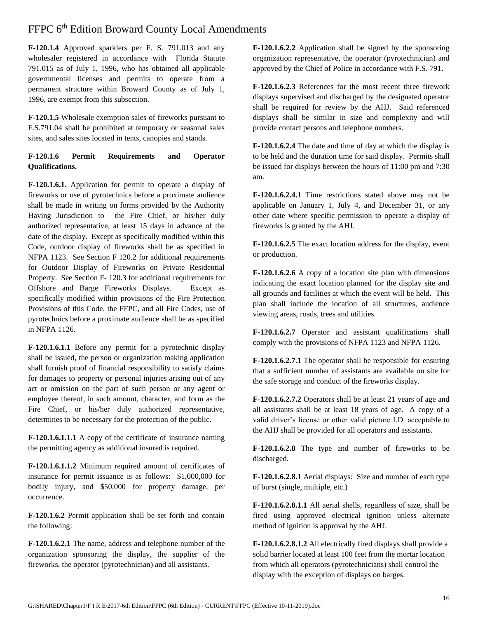**F-120.1.4** Approved sparklers per F. S. 791.013 and any wholesaler registered in accordance with Florida Statute 791.015 as of July 1, 1996, who has obtained all applicable governmental licenses and permits to operate from a permanent structure within Broward County as of July 1, 1996, are exempt from this subsection.

**F-120.1.5** Wholesale exemption sales of fireworks pursuant to F.S.791.04 shall be prohibited at temporary or seasonal sales sites, and sales sites located in tents, canopies and stands.

#### **F-120.1.6 Permit Requirements and Operator Qualifications.**

**F-120.1.6.1.** Application for permit to operate a display of fireworks or use of pyrotechnics before a proximate audience shall be made in writing on forms provided by the Authority Having Jurisdiction to the Fire Chief, or his/her duly authorized representative, at least 15 days in advance of the date of the display. Except as specifically modified within this Code, outdoor display of fireworks shall be as specified in NFPA 1123. See Section F 120.2 for additional requirements for Outdoor Display of Fireworks on Private Residential Property. See Section F- 120.3 for additional requirements for Offshore and Barge Fireworks Displays. Except as specifically modified within provisions of the Fire Protection Provisions of this Code, the FFPC, and all Fire Codes, use of pyrotechnics before a proximate audience shall be as specified in NFPA 1126.

**F-120.1.6.1.1** Before any permit for a pyrotechnic display shall be issued, the person or organization making application shall furnish proof of financial responsibility to satisfy claims for damages to property or personal injuries arising out of any act or omission on the part of such person or any agent or employee thereof, in such amount, character, and form as the Fire Chief, or his/her duly authorized representative, determines to be necessary for the protection of the public.

**F-120.1.6.1.1.1** A copy of the certificate of insurance naming the permitting agency as additional insured is required.

**F-120.1.6.1.1.2** Minimum required amount of certificates of insurance for permit issuance is as follows: \$1,000,000 for bodily injury, and \$50,000 for property damage, per occurrence.

**F-120.1.6.2** Permit application shall be set forth and contain the following:

**F-120.1.6.2.1** The name, address and telephone number of the organization sponsoring the display, the supplier of the fireworks, the operator (pyrotechnician) and all assistants.

**F-120.1.6.2.2** Application shall be signed by the sponsoring organization representative, the operator (pyrotechnician) and approved by the Chief of Police in accordance with F.S. 791.

**F-120.1.6.2.3** References for the most recent three firework displays supervised and discharged by the designated operator shall be required for review by the AHJ. Said referenced displays shall be similar in size and complexity and will provide contact persons and telephone numbers.

**F-120.1.6.2.4** The date and time of day at which the display is to be held and the duration time for said display. Permits shall be issued for displays between the hours of 11:00 pm and 7:30 am.

**F-120.1.6.2.4.1** Time restrictions stated above may not be applicable on January 1, July 4, and December 31, or any other date where specific permission to operate a display of fireworks is granted by the AHJ.

**F-120.1.6.2.5** The exact location address for the display, event or production.

**F-120.1.6.2.6** A copy of a location site plan with dimensions indicating the exact location planned for the display site and all grounds and facilities at which the event will be held. This plan shall include the location of all structures, audience viewing areas, roads, trees and utilities.

**F-120.1.6.2.7** Operator and assistant qualifications shall comply with the provisions of NFPA 1123 and NFPA 1126.

**F-120.1.6.2.7.1** The operator shall be responsible for ensuring that a sufficient number of assistants are available on site for the safe storage and conduct of the fireworks display.

**F-120.1.6.2.7.2** Operators shall be at least 21 years of age and all assistants shall be at least 18 years of age. A copy of a valid driver's license or other valid picture I.D. acceptable to the AHJ shall be provided for all operators and assistants.

**F-120.1.6.2.8** The type and number of fireworks to be discharged.

**F-120.1.6.2.8.1** Aerial displays: Size and number of each type of burst (single, multiple, etc.)

**F-120.1.6.2.8.1.1** All aerial shells, regardless of size, shall be fired using approved electrical ignition unless alternate method of ignition is approval by the AHJ.

**F-120.1.6.2.8.1.2** All electrically fired displays shall provide a solid barrier located at least 100 feet from the mortar location from which all operators (pyrotechnicians) shall control the display with the exception of displays on barges.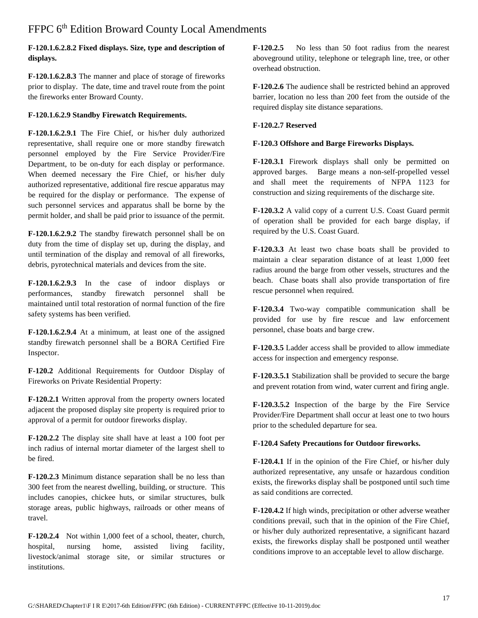#### **F-120.1.6.2.8.2 Fixed displays. Size, type and description of displays.**

**F-120.1.6.2.8.3** The manner and place of storage of fireworks prior to display. The date, time and travel route from the point the fireworks enter Broward County.

#### **F-120.1.6.2.9 Standby Firewatch Requirements.**

**F-120.1.6.2.9.1** The Fire Chief, or his/her duly authorized representative, shall require one or more standby firewatch personnel employed by the Fire Service Provider/Fire Department, to be on-duty for each display or performance. When deemed necessary the Fire Chief, or his/her duly authorized representative, additional fire rescue apparatus may be required for the display or performance. The expense of such personnel services and apparatus shall be borne by the permit holder, and shall be paid prior to issuance of the permit.

**F-120.1.6.2.9.2** The standby firewatch personnel shall be on duty from the time of display set up, during the display, and until termination of the display and removal of all fireworks, debris, pyrotechnical materials and devices from the site.

**F-120.1.6.2.9.3** In the case of indoor displays or performances, standby firewatch personnel shall be maintained until total restoration of normal function of the fire safety systems has been verified.

**F-120.1.6.2.9.4** At a minimum, at least one of the assigned standby firewatch personnel shall be a BORA Certified Fire Inspector.

**F-120.2** Additional Requirements for Outdoor Display of Fireworks on Private Residential Property:

**F-120.2.1** Written approval from the property owners located adjacent the proposed display site property is required prior to approval of a permit for outdoor fireworks display.

**F-120.2.2** The display site shall have at least a 100 foot per inch radius of internal mortar diameter of the largest shell to be fired.

**F-120.2.3** Minimum distance separation shall be no less than 300 feet from the nearest dwelling, building, or structure. This includes canopies, chickee huts, or similar structures, bulk storage areas, public highways, railroads or other means of travel.

**F-120.2.4** Not within 1,000 feet of a school, theater, church, hospital, nursing home, assisted living facility, livestock/animal storage site, or similar structures or institutions.

**F-120.2.5** No less than 50 foot radius from the nearest aboveground utility, telephone or telegraph line, tree, or other overhead obstruction.

**F-120.2.6** The audience shall be restricted behind an approved barrier, location no less than 200 feet from the outside of the required display site distance separations.

#### **F-120.2.7 Reserved**

#### **F-120.3 Offshore and Barge Fireworks Displays.**

**F-120.3.1** Firework displays shall only be permitted on approved barges. Barge means a non-self-propelled vessel and shall meet the requirements of NFPA 1123 for construction and sizing requirements of the discharge site.

**F-120.3.2** A valid copy of a current U.S. Coast Guard permit of operation shall be provided for each barge display, if required by the U.S. Coast Guard.

**F-120.3.3** At least two chase boats shall be provided to maintain a clear separation distance of at least 1,000 feet radius around the barge from other vessels, structures and the beach. Chase boats shall also provide transportation of fire rescue personnel when required.

**F-120.3.4** Two-way compatible communication shall be provided for use by fire rescue and law enforcement personnel, chase boats and barge crew.

**F-120.3.5** Ladder access shall be provided to allow immediate access for inspection and emergency response.

**F-120.3.5.1** Stabilization shall be provided to secure the barge and prevent rotation from wind, water current and firing angle.

**F-120.3.5.2** Inspection of the barge by the Fire Service Provider/Fire Department shall occur at least one to two hours prior to the scheduled departure for sea.

#### **F-120.4 Safety Precautions for Outdoor fireworks.**

**F-120.4.1** If in the opinion of the Fire Chief, or his/her duly authorized representative, any unsafe or hazardous condition exists, the fireworks display shall be postponed until such time as said conditions are corrected.

**F-120.4.2** If high winds, precipitation or other adverse weather conditions prevail, such that in the opinion of the Fire Chief, or his/her duly authorized representative, a significant hazard exists, the fireworks display shall be postponed until weather conditions improve to an acceptable level to allow discharge.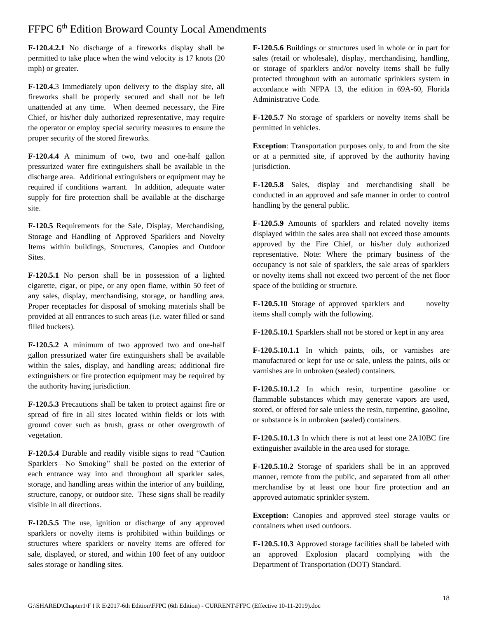**F-120.4.2.1** No discharge of a fireworks display shall be permitted to take place when the wind velocity is 17 knots (20 mph) or greater.

**F-120.4.**3 Immediately upon delivery to the display site, all fireworks shall be properly secured and shall not be left unattended at any time. When deemed necessary, the Fire Chief, or his/her duly authorized representative, may require the operator or employ special security measures to ensure the proper security of the stored fireworks.

**F-120.4.4** A minimum of two, two and one-half gallon pressurized water fire extinguishers shall be available in the discharge area. Additional extinguishers or equipment may be required if conditions warrant. In addition, adequate water supply for fire protection shall be available at the discharge site.

**F-120.5** Requirements for the Sale, Display, Merchandising, Storage and Handling of Approved Sparklers and Novelty Items within buildings, Structures, Canopies and Outdoor Sites.

**F-120.5.1** No person shall be in possession of a lighted cigarette, cigar, or pipe, or any open flame, within 50 feet of any sales, display, merchandising, storage, or handling area. Proper receptacles for disposal of smoking materials shall be provided at all entrances to such areas (i.e. water filled or sand filled buckets).

**F-120.5.2** A minimum of two approved two and one-half gallon pressurized water fire extinguishers shall be available within the sales, display, and handling areas; additional fire extinguishers or fire protection equipment may be required by the authority having jurisdiction.

**F-120.5.3** Precautions shall be taken to protect against fire or spread of fire in all sites located within fields or lots with ground cover such as brush, grass or other overgrowth of vegetation.

**F-120.5.4** Durable and readily visible signs to read "Caution Sparklers—No Smoking" shall be posted on the exterior of each entrance way into and throughout all sparkler sales, storage, and handling areas within the interior of any building, structure, canopy, or outdoor site. These signs shall be readily visible in all directions.

**F-120.5.5** The use, ignition or discharge of any approved sparklers or novelty items is prohibited within buildings or structures where sparklers or novelty items are offered for sale, displayed, or stored, and within 100 feet of any outdoor sales storage or handling sites.

**F-120.5.6** Buildings or structures used in whole or in part for sales (retail or wholesale), display, merchandising, handling, or storage of sparklers and/or novelty items shall be fully protected throughout with an automatic sprinklers system in accordance with NFPA 13, the edition in 69A-60, Florida Administrative Code.

**F-120.5.7** No storage of sparklers or novelty items shall be permitted in vehicles.

**Exception**: Transportation purposes only, to and from the site or at a permitted site, if approved by the authority having jurisdiction*.*

**F-120.5.8** Sales, display and merchandising shall be conducted in an approved and safe manner in order to control handling by the general public.

**F-120.5.9** Amounts of sparklers and related novelty items displayed within the sales area shall not exceed those amounts approved by the Fire Chief, or his/her duly authorized representative. Note: Where the primary business of the occupancy is not sale of sparklers, the sale areas of sparklers or novelty items shall not exceed two percent of the net floor space of the building or structure.

**F-120.5.10** Storage of approved sparklers and novelty items shall comply with the following.

**F-120.5.10.1** Sparklers shall not be stored or kept in any area

**F-120.5.10.1.1** In which paints, oils, or varnishes are manufactured or kept for use or sale, unless the paints, oils or varnishes are in unbroken (sealed) containers.

**F-120.5.10.1.2** In which resin, turpentine gasoline or flammable substances which may generate vapors are used, stored, or offered for sale unless the resin, turpentine, gasoline, or substance is in unbroken (sealed) containers.

**F-120.5.10.1.3** In which there is not at least one 2A10BC fire extinguisher available in the area used for storage.

**F-120.5.10.2** Storage of sparklers shall be in an approved manner, remote from the public, and separated from all other merchandise by at least one hour fire protection and an approved automatic sprinkler system.

**Exception:** Canopies and approved steel storage vaults or containers when used outdoors.

**F-120.5.10.3** Approved storage facilities shall be labeled with an approved Explosion placard complying with the Department of Transportation (DOT) Standard.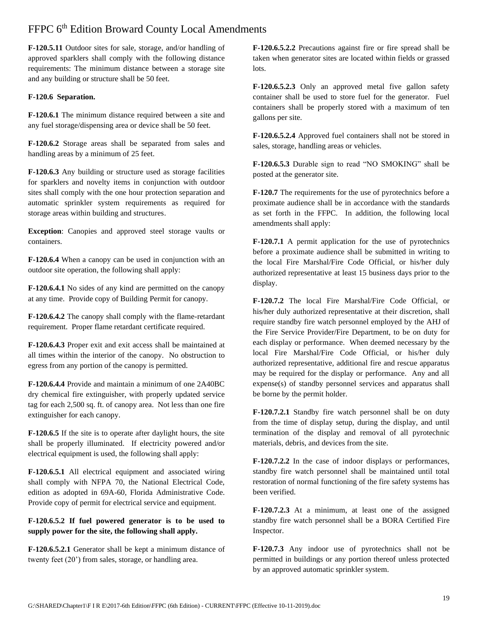**F-120.5.11** Outdoor sites for sale, storage, and/or handling of approved sparklers shall comply with the following distance requirements: The minimum distance between a storage site and any building or structure shall be 50 feet.

#### **F-120.6 Separation.**

**F-120.6.1** The minimum distance required between a site and any fuel storage/dispensing area or device shall be 50 feet.

**F-120.6.2** Storage areas shall be separated from sales and handling areas by a minimum of 25 feet.

**F-120.6.3** Any building or structure used as storage facilities for sparklers and novelty items in conjunction with outdoor sites shall comply with the one hour protection separation and automatic sprinkler system requirements as required for storage areas within building and structures.

**Exception**: Canopies and approved steel storage vaults or containers.

**F-120.6.4** When a canopy can be used in conjunction with an outdoor site operation, the following shall apply:

**F-120.6.4.1** No sides of any kind are permitted on the canopy at any time. Provide copy of Building Permit for canopy.

**F-120.6.4.2** The canopy shall comply with the flame-retardant requirement. Proper flame retardant certificate required.

**F-120.6.4.3** Proper exit and exit access shall be maintained at all times within the interior of the canopy. No obstruction to egress from any portion of the canopy is permitted.

**F-120.6.4.4** Provide and maintain a minimum of one 2A40BC dry chemical fire extinguisher, with properly updated service tag for each 2,500 sq. ft. of canopy area. Not less than one fire extinguisher for each canopy.

**F-120.6.5** If the site is to operate after daylight hours, the site shall be properly illuminated. If electricity powered and/or electrical equipment is used, the following shall apply:

**F-120.6.5.1** All electrical equipment and associated wiring shall comply with NFPA 70, the National Electrical Code, edition as adopted in 69A-60, Florida Administrative Code. Provide copy of permit for electrical service and equipment.

#### **F-120.6.5.2 If fuel powered generator is to be used to supply power for the site, the following shall apply.**

**F-120.6.5.2.1** Generator shall be kept a minimum distance of twenty feet (20') from sales, storage, or handling area.

**F-120.6.5.2.2** Precautions against fire or fire spread shall be taken when generator sites are located within fields or grassed lots.

**F-120.6.5.2.3** Only an approved metal five gallon safety container shall be used to store fuel for the generator. Fuel containers shall be properly stored with a maximum of ten gallons per site.

**F-120.6.5.2.4** Approved fuel containers shall not be stored in sales, storage, handling areas or vehicles.

**F-120.6.5.3** Durable sign to read "NO SMOKING" shall be posted at the generator site.

**F-120.7** The requirements for the use of pyrotechnics before a proximate audience shall be in accordance with the standards as set forth in the FFPC. In addition, the following local amendments shall apply:

**F-120.7.1** A permit application for the use of pyrotechnics before a proximate audience shall be submitted in writing to the local Fire Marshal/Fire Code Official, or his/her duly authorized representative at least 15 business days prior to the display.

**F-120.7.2** The local Fire Marshal/Fire Code Official, or his/her duly authorized representative at their discretion, shall require standby fire watch personnel employed by the AHJ of the Fire Service Provider/Fire Department, to be on duty for each display or performance. When deemed necessary by the local Fire Marshal/Fire Code Official, or his/her duly authorized representative, additional fire and rescue apparatus may be required for the display or performance. Any and all expense(s) of standby personnel services and apparatus shall be borne by the permit holder.

**F-120.7.2.1** Standby fire watch personnel shall be on duty from the time of display setup, during the display, and until termination of the display and removal of all pyrotechnic materials, debris, and devices from the site.

**F-120.7.2.2** In the case of indoor displays or performances, standby fire watch personnel shall be maintained until total restoration of normal functioning of the fire safety systems has been verified.

**F-120.7.2.3** At a minimum, at least one of the assigned standby fire watch personnel shall be a BORA Certified Fire Inspector.

**F-120.7.3** Any indoor use of pyrotechnics shall not be permitted in buildings or any portion thereof unless protected by an approved automatic sprinkler system.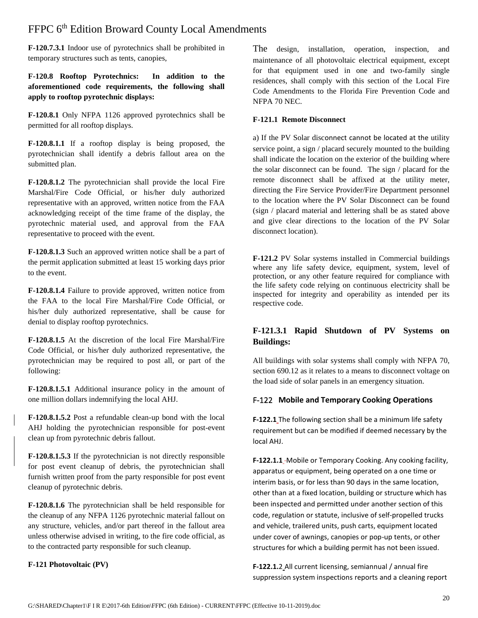**F-120.7.3.1** Indoor use of pyrotechnics shall be prohibited in temporary structures such as tents, canopies,

**F-120.8 Rooftop Pyrotechnics: In addition to the aforementioned code requirements, the following shall apply to rooftop pyrotechnic displays:**

**F-120.8.1** Only NFPA 1126 approved pyrotechnics shall be permitted for all rooftop displays.

**F-120.8.1.1** If a rooftop display is being proposed, the pyrotechnician shall identify a debris fallout area on the submitted plan.

**F-120.8.1.2** The pyrotechnician shall provide the local Fire Marshal/Fire Code Official, or his/her duly authorized representative with an approved, written notice from the FAA acknowledging receipt of the time frame of the display, the pyrotechnic material used, and approval from the FAA representative to proceed with the event.

**F-120.8.1.3** Such an approved written notice shall be a part of the permit application submitted at least 15 working days prior to the event.

**F-120.8.1.4** Failure to provide approved, written notice from the FAA to the local Fire Marshal/Fire Code Official, or his/her duly authorized representative, shall be cause for denial to display rooftop pyrotechnics.

**F-120.8.1.5** At the discretion of the local Fire Marshal/Fire Code Official, or his/her duly authorized representative, the pyrotechnician may be required to post all, or part of the following:

**F-120.8.1.5.1** Additional insurance policy in the amount of one million dollars indemnifying the local AHJ.

**F-120.8.1.5.2** Post a refundable clean-up bond with the local AHJ holding the pyrotechnician responsible for post-event clean up from pyrotechnic debris fallout.

**F-120.8.1.5.3** If the pyrotechnician is not directly responsible for post event cleanup of debris, the pyrotechnician shall furnish written proof from the party responsible for post event cleanup of pyrotechnic debris.

**F-120.8.1.6** The pyrotechnician shall be held responsible for the cleanup of any NFPA 1126 pyrotechnic material fallout on any structure, vehicles, and/or part thereof in the fallout area unless otherwise advised in writing, to the fire code official, as to the contracted party responsible for such cleanup.

**F-121 Photovoltaic (PV)**

The design, installation, operation, inspection, and maintenance of all photovoltaic electrical equipment, except for that equipment used in one and two-family single residences, shall comply with this section of the Local Fire Code Amendments to the Florida Fire Prevention Code and NFPA 70 NEC.

#### **F-121.1 Remote Disconnect**

a) If the PV Solar disconnect cannot be located at the utility service point, a sign / placard securely mounted to the building shall indicate the location on the exterior of the building where the solar disconnect can be found. The sign / placard for the remote disconnect shall be affixed at the utility meter, directing the Fire Service Provider/Fire Department personnel to the location where the PV Solar Disconnect can be found (sign / placard material and lettering shall be as stated above and give clear directions to the location of the PV Solar disconnect location).

**F-121.2** PV Solar systems installed in Commercial buildings where any life safety device, equipment, system, level of protection, or any other feature required for compliance with the life safety code relying on continuous electricity shall be inspected for integrity and operability as intended per its respective code.

#### **F-121.3.1 Rapid Shutdown of PV Systems on Buildings:**

All buildings with solar systems shall comply with NFPA 70, section 690.12 as it relates to a means to disconnect voltage on the load side of solar panels in an emergency situation.

#### F-122 **Mobile and Temporary Cooking Operations**

**F-122.1** The following section shall be a minimum life safety requirement but can be modified if deemed necessary by the local AHJ.

**F-122.1.1** Mobile or Temporary Cooking. Any cooking facility, apparatus or equipment, being operated on a one time or interim basis, or for less than 90 days in the same location, other than at a fixed location, building or structure which has been inspected and permitted under another section of this code, regulation or statute, inclusive of self-propelled trucks and vehicle, trailered units, push carts, equipment located under cover of awnings, canopies or pop-up tents, or other structures for which a building permit has not been issued.

**F-122.1.**2 All current licensing, semiannual / annual fire suppression system inspections reports and a cleaning report